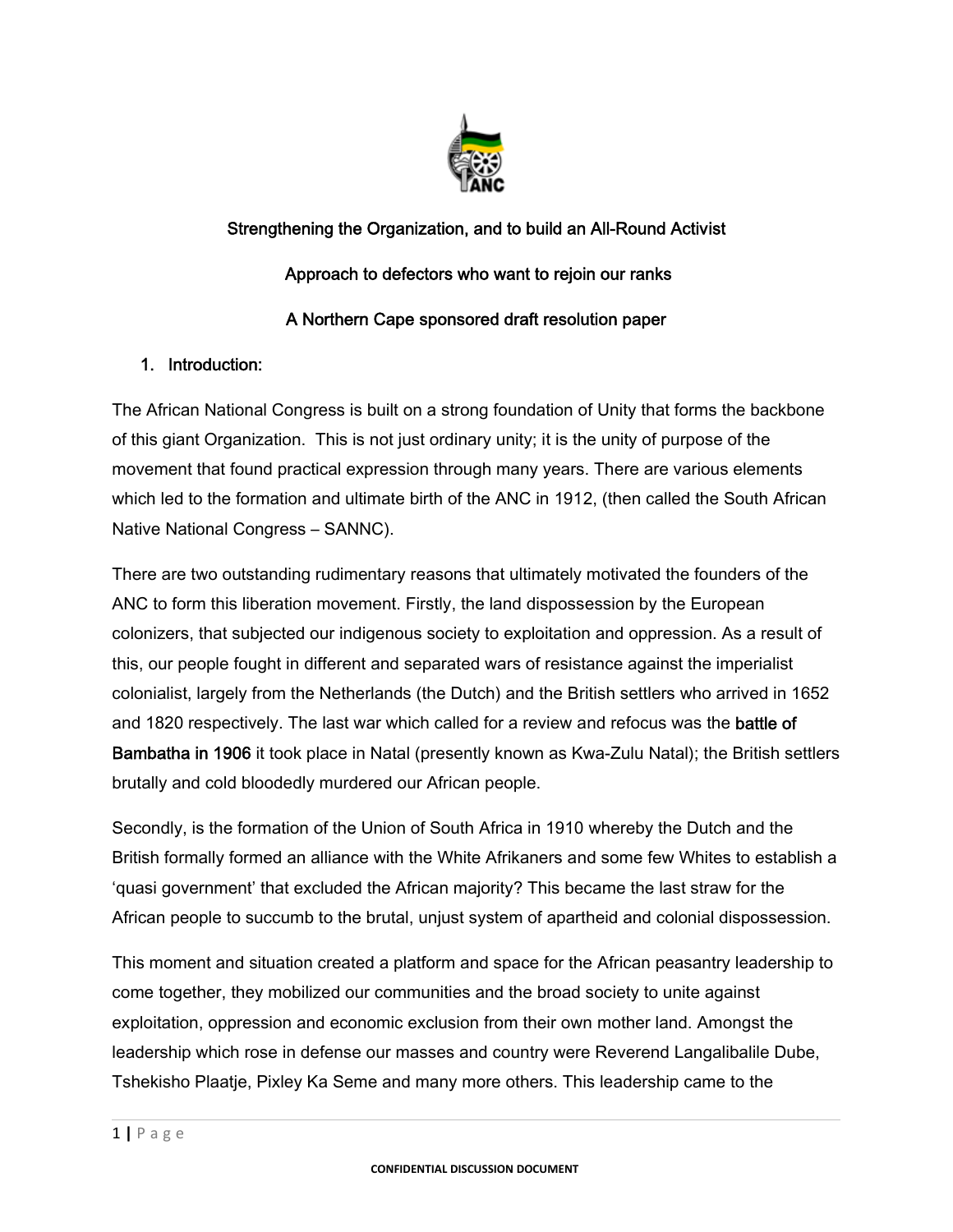

# Strengthening the Organization, and to build an All-Round Activist Approach to defectors who want to rejoin our ranks A Northern Cape sponsored draft resolution paper

# 1. Introduction:

The African National Congress is built on a strong foundation of Unity that forms the backbone of this giant Organization. This is not just ordinary unity; it is the unity of purpose of the movement that found practical expression through many years. There are various elements which led to the formation and ultimate birth of the ANC in 1912, (then called the South African Native National Congress – SANNC).

There are two outstanding rudimentary reasons that ultimately motivated the founders of the ANC to form this liberation movement. Firstly, the land dispossession by the European colonizers, that subjected our indigenous society to exploitation and oppression. As a result of this, our people fought in different and separated wars of resistance against the imperialist colonialist, largely from the Netherlands (the Dutch) and the British settlers who arrived in 1652 and 1820 respectively. The last war which called for a review and refocus was the **battle of** Bambatha in 1906 it took place in Natal (presently known as Kwa-Zulu Natal); the British settlers brutally and cold bloodedly murdered our African people.

Secondly, is the formation of the Union of South Africa in 1910 whereby the Dutch and the British formally formed an alliance with the White Afrikaners and some few Whites to establish a 'quasi government' that excluded the African majority? This became the last straw for the African people to succumb to the brutal, unjust system of apartheid and colonial dispossession.

This moment and situation created a platform and space for the African peasantry leadership to come together, they mobilized our communities and the broad society to unite against exploitation, oppression and economic exclusion from their own mother land. Amongst the leadership which rose in defense our masses and country were Reverend Langalibalile Dube, Tshekisho Plaatje, Pixley Ka Seme and many more others. This leadership came to the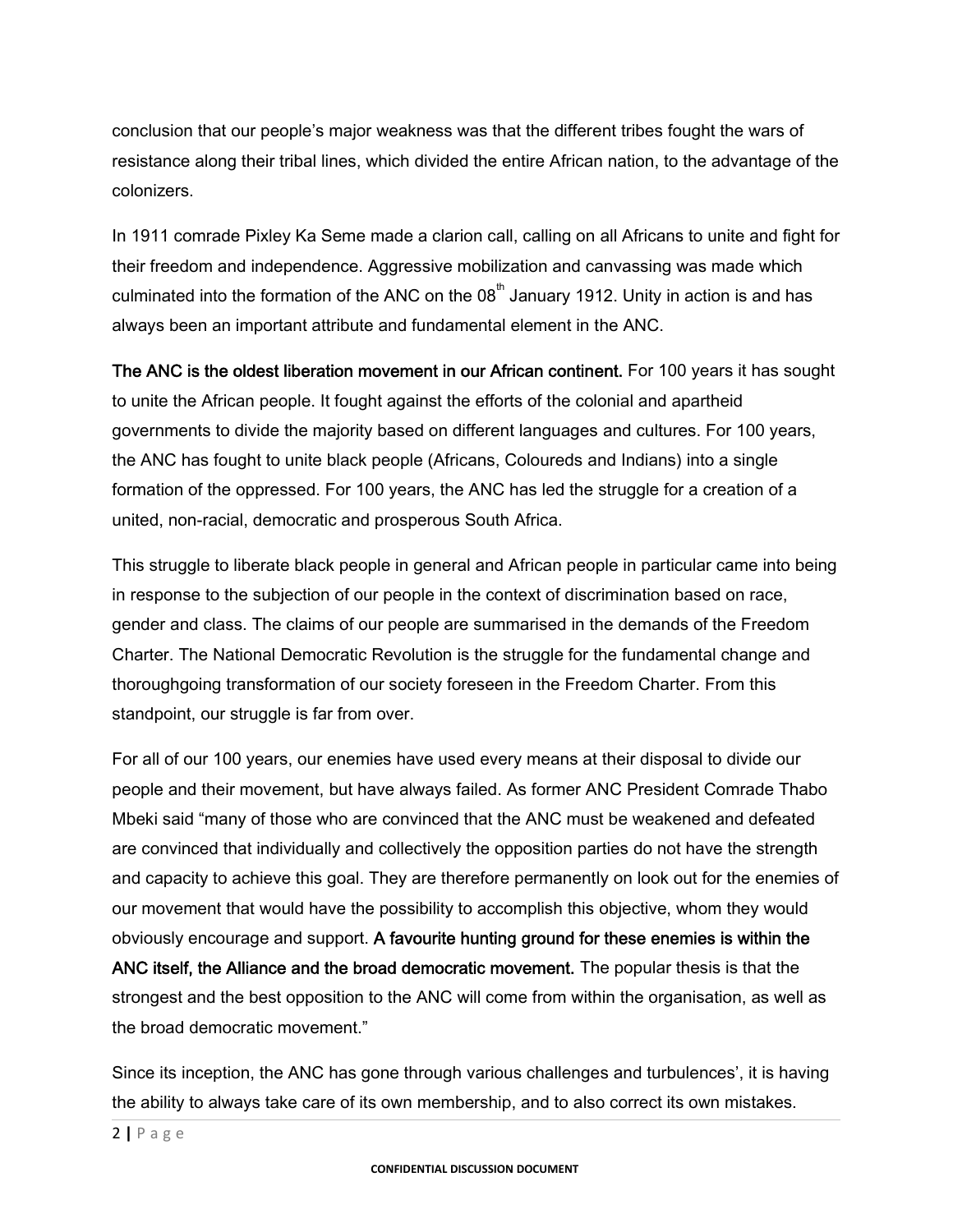conclusion that our people's major weakness was that the different tribes fought the wars of resistance along their tribal lines, which divided the entire African nation, to the advantage of the colonizers.

In 1911 comrade Pixley Ka Seme made a clarion call, calling on all Africans to unite and fight for their freedom and independence. Aggressive mobilization and canvassing was made which culminated into the formation of the ANC on the  $08<sup>th</sup>$  January 1912. Unity in action is and has always been an important attribute and fundamental element in the ANC.

The ANC is the oldest liberation movement in our African continent. For 100 years it has sought to unite the African people. It fought against the efforts of the colonial and apartheid governments to divide the majority based on different languages and cultures. For 100 years, the ANC has fought to unite black people (Africans, Coloureds and Indians) into a single formation of the oppressed. For 100 years, the ANC has led the struggle for a creation of a united, non-racial, democratic and prosperous South Africa.

This struggle to liberate black people in general and African people in particular came into being in response to the subjection of our people in the context of discrimination based on race, gender and class. The claims of our people are summarised in the demands of the Freedom Charter. The National Democratic Revolution is the struggle for the fundamental change and thoroughgoing transformation of our society foreseen in the Freedom Charter. From this standpoint, our struggle is far from over.

For all of our 100 years, our enemies have used every means at their disposal to divide our people and their movement, but have always failed. As former ANC President Comrade Thabo Mbeki said "many of those who are convinced that the ANC must be weakened and defeated are convinced that individually and collectively the opposition parties do not have the strength and capacity to achieve this goal. They are therefore permanently on look out for the enemies of our movement that would have the possibility to accomplish this objective, whom they would obviously encourage and support. A favourite hunting ground for these enemies is within the ANC itself, the Alliance and the broad democratic movement. The popular thesis is that the strongest and the best opposition to the ANC will come from within the organisation, as well as the broad democratic movement."

Since its inception, the ANC has gone through various challenges and turbulences', it is having the ability to always take care of its own membership, and to also correct its own mistakes.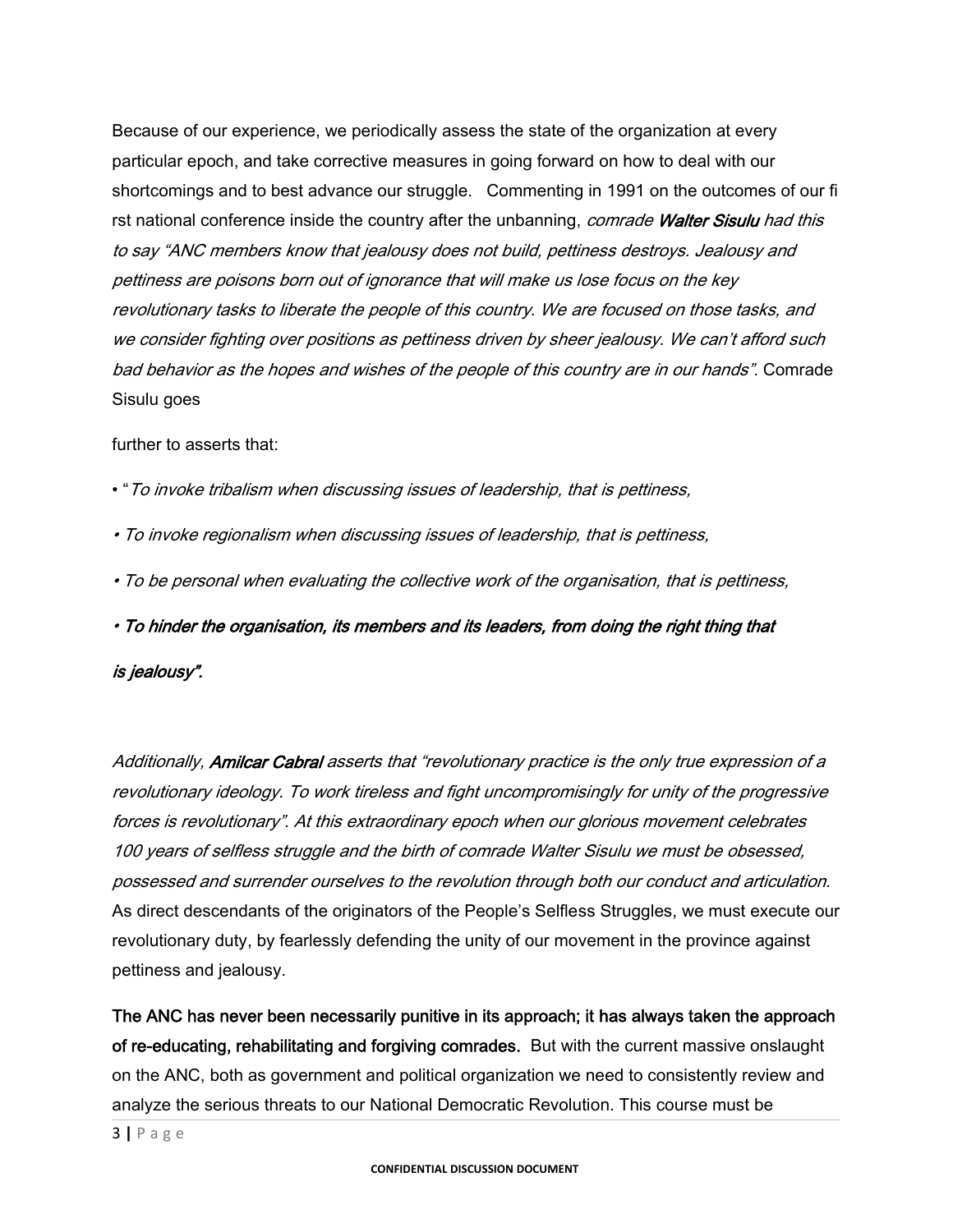Because of our experience, we periodically assess the state of the organization at every particular epoch, and take corrective measures in going forward on how to deal with our shortcomings and to best advance our struggle. Commenting in 1991 on the outcomes of our fi rst national conference inside the country after the unbanning, comrade Walter Sisulu had this to say "ANC members know that jealousy does not build, pettiness destroys. Jealousy and pettiness are poisons born out of ignorance that will make us lose focus on the key revolutionary tasks to liberate the people of this country. We are focused on those tasks, and we consider fighting over positions as pettiness driven by sheer jealousy. We can't afford such bad behavior as the hopes and wishes of the people of this country are in our hands". Comrade Sisulu goes

#### further to asserts that:

- "To invoke tribalism when discussing issues of leadership, that is pettiness,
- To invoke regionalism when discussing issues of leadership, that is pettiness,
- To be personal when evaluating the collective work of the organisation, that is pettiness,

• To hinder the organisation, its members and its leaders, from doing the right thing that

#### is jealousy".

Additionally, Amilcar Cabral asserts that "revolutionary practice is the only true expression of a revolutionary ideology. To work tireless and fight uncompromisingly for unity of the progressive forces is revolutionary". At this extraordinary epoch when our glorious movement celebrates 100 years of selfless struggle and the birth of comrade Walter Sisulu we must be obsessed, possessed and surrender ourselves to the revolution through both our conduct and articulation. As direct descendants of the originators of the People's Selfless Struggles, we must execute our revolutionary duty, by fearlessly defending the unity of our movement in the province against pettiness and jealousy.

The ANC has never been necessarily punitive in its approach; it has always taken the approach of re-educating, rehabilitating and forgiving comrades. But with the current massive onslaught on the ANC, both as government and political organization we need to consistently review and analyze the serious threats to our National Democratic Revolution. This course must be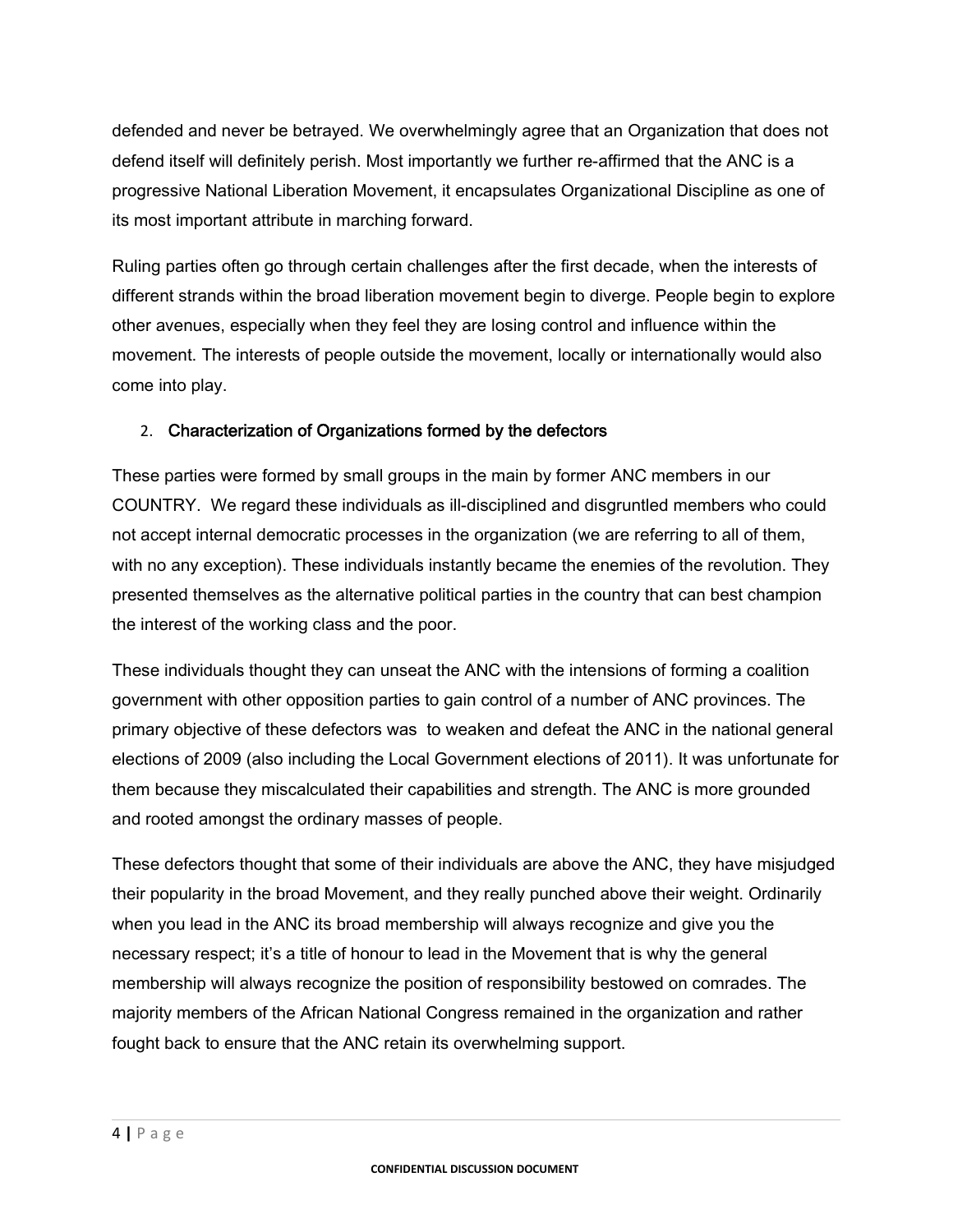defended and never be betrayed. We overwhelmingly agree that an Organization that does not defend itself will definitely perish. Most importantly we further re-affirmed that the ANC is a progressive National Liberation Movement, it encapsulates Organizational Discipline as one of its most important attribute in marching forward.

Ruling parties often go through certain challenges after the first decade, when the interests of different strands within the broad liberation movement begin to diverge. People begin to explore other avenues, especially when they feel they are losing control and influence within the movement. The interests of people outside the movement, locally or internationally would also come into play.

# 2. Characterization of Organizations formed by the defectors

These parties were formed by small groups in the main by former ANC members in our COUNTRY. We regard these individuals as ill-disciplined and disgruntled members who could not accept internal democratic processes in the organization (we are referring to all of them, with no any exception). These individuals instantly became the enemies of the revolution. They presented themselves as the alternative political parties in the country that can best champion the interest of the working class and the poor.

These individuals thought they can unseat the ANC with the intensions of forming a coalition government with other opposition parties to gain control of a number of ANC provinces. The primary objective of these defectors was to weaken and defeat the ANC in the national general elections of 2009 (also including the Local Government elections of 2011). It was unfortunate for them because they miscalculated their capabilities and strength. The ANC is more grounded and rooted amongst the ordinary masses of people.

These defectors thought that some of their individuals are above the ANC, they have misjudged their popularity in the broad Movement, and they really punched above their weight. Ordinarily when you lead in the ANC its broad membership will always recognize and give you the necessary respect; it's a title of honour to lead in the Movement that is why the general membership will always recognize the position of responsibility bestowed on comrades. The majority members of the African National Congress remained in the organization and rather fought back to ensure that the ANC retain its overwhelming support.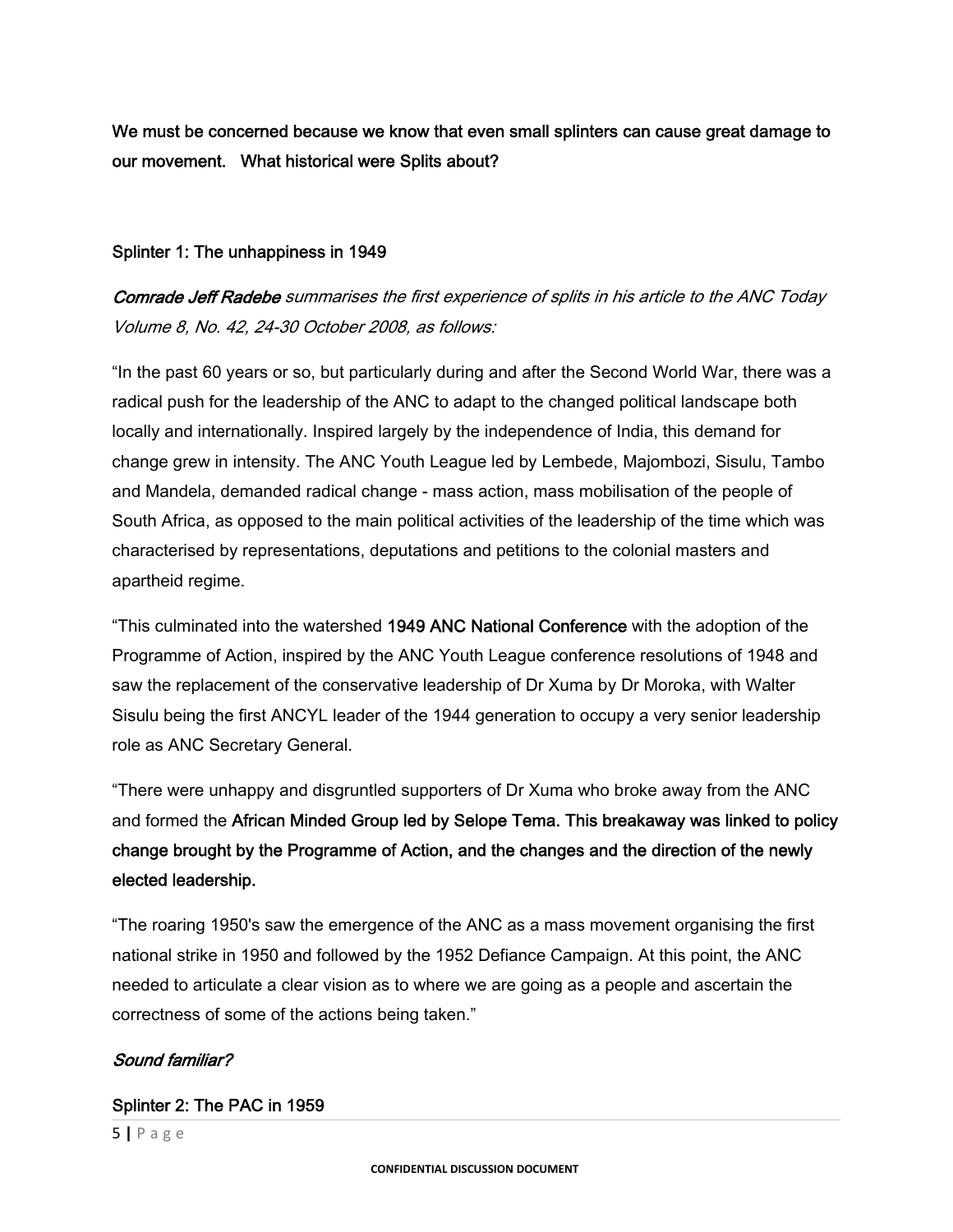We must be concerned because we know that even small splinters can cause great damage to our movement. What historical were Splits about?

#### Splinter 1: The unhappiness in 1949

Comrade Jeff Radebe summarises the first experience of splits in his article to the ANC Today Volume 8, No. 42, 24-30 October 2008, as follows:

"In the past 60 years or so, but particularly during and after the Second World War, there was a radical push for the leadership of the ANC to adapt to the changed political landscape both locally and internationally. Inspired largely by the independence of India, this demand for change grew in intensity. The ANC Youth League led by Lembede, Majombozi, Sisulu, Tambo and Mandela, demanded radical change - mass action, mass mobilisation of the people of South Africa, as opposed to the main political activities of the leadership of the time which was characterised by representations, deputations and petitions to the colonial masters and apartheid regime.

"This culminated into the watershed 1949 ANC National Conference with the adoption of the Programme of Action, inspired by the ANC Youth League conference resolutions of 1948 and saw the replacement of the conservative leadership of Dr Xuma by Dr Moroka, with Walter Sisulu being the first ANCYL leader of the 1944 generation to occupy a very senior leadership role as ANC Secretary General.

"There were unhappy and disgruntled supporters of Dr Xuma who broke away from the ANC and formed the African Minded Group led by Selope Tema. This breakaway was linked to policy change brought by the Programme of Action, and the changes and the direction of the newly elected leadership.

"The roaring 1950's saw the emergence of the ANC as a mass movement organising the first national strike in 1950 and followed by the 1952 Defiance Campaign. At this point, the ANC needed to articulate a clear vision as to where we are going as a people and ascertain the correctness of some of the actions being taken."

#### Sound familiar?

#### Splinter 2: The PAC in 1959

5 **|** Page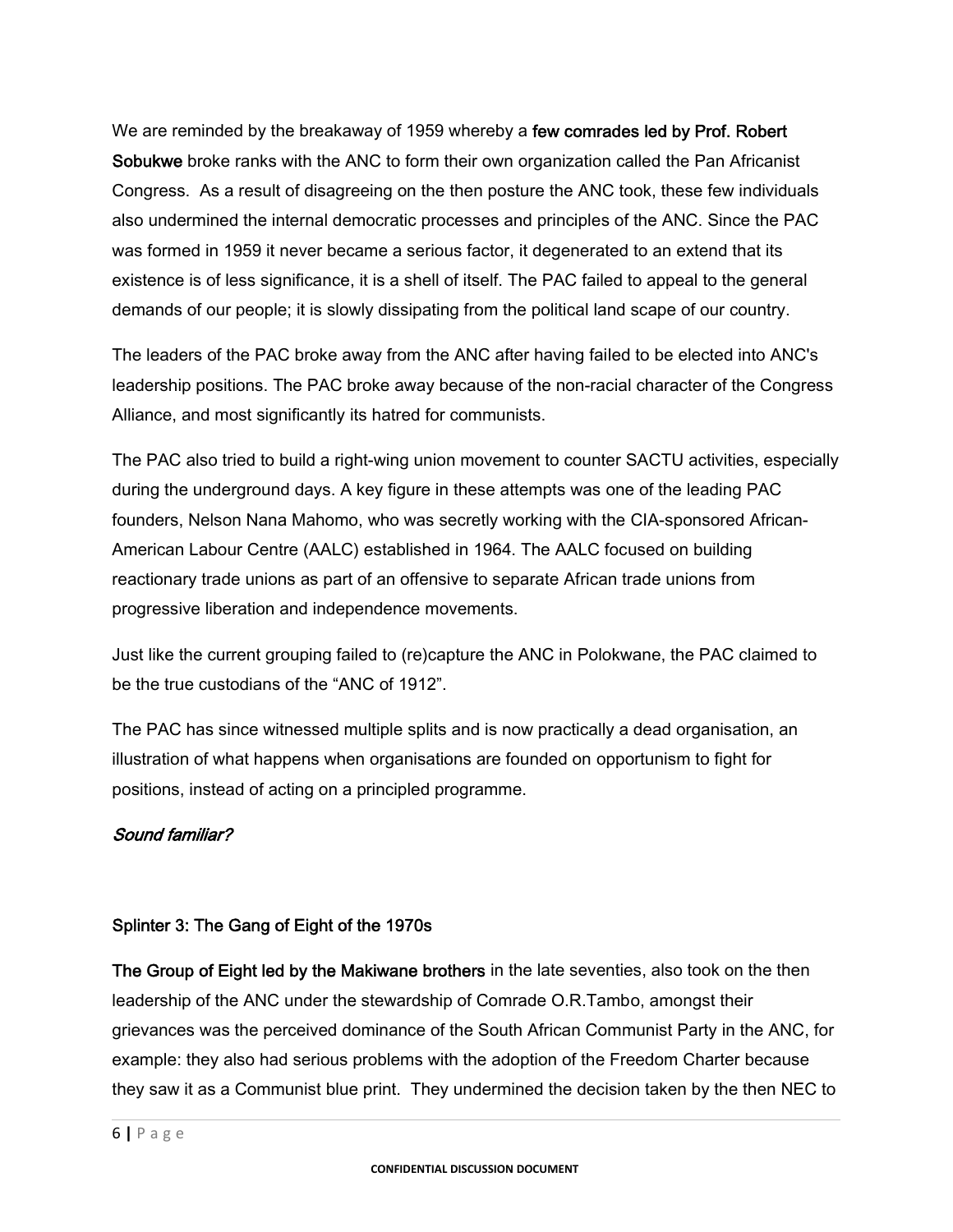We are reminded by the breakaway of 1959 whereby a few comrades led by Prof. Robert Sobukwe broke ranks with the ANC to form their own organization called the Pan Africanist Congress. As a result of disagreeing on the then posture the ANC took, these few individuals also undermined the internal democratic processes and principles of the ANC. Since the PAC was formed in 1959 it never became a serious factor, it degenerated to an extend that its existence is of less significance, it is a shell of itself. The PAC failed to appeal to the general demands of our people; it is slowly dissipating from the political land scape of our country.

The leaders of the PAC broke away from the ANC after having failed to be elected into ANC's leadership positions. The PAC broke away because of the non-racial character of the Congress Alliance, and most significantly its hatred for communists.

The PAC also tried to build a right-wing union movement to counter SACTU activities, especially during the underground days. A key figure in these attempts was one of the leading PAC founders, Nelson Nana Mahomo, who was secretly working with the CIA-sponsored African-American Labour Centre (AALC) established in 1964. The AALC focused on building reactionary trade unions as part of an offensive to separate African trade unions from progressive liberation and independence movements.

Just like the current grouping failed to (re)capture the ANC in Polokwane, the PAC claimed to be the true custodians of the "ANC of 1912".

The PAC has since witnessed multiple splits and is now practically a dead organisation, an illustration of what happens when organisations are founded on opportunism to fight for positions, instead of acting on a principled programme.

# Sound familiar?

# Splinter 3: The Gang of Eight of the 1970s

The Group of Eight led by the Makiwane brothers in the late seventies, also took on the then leadership of the ANC under the stewardship of Comrade O.R.Tambo, amongst their grievances was the perceived dominance of the South African Communist Party in the ANC, for example: they also had serious problems with the adoption of the Freedom Charter because they saw it as a Communist blue print. They undermined the decision taken by the then NEC to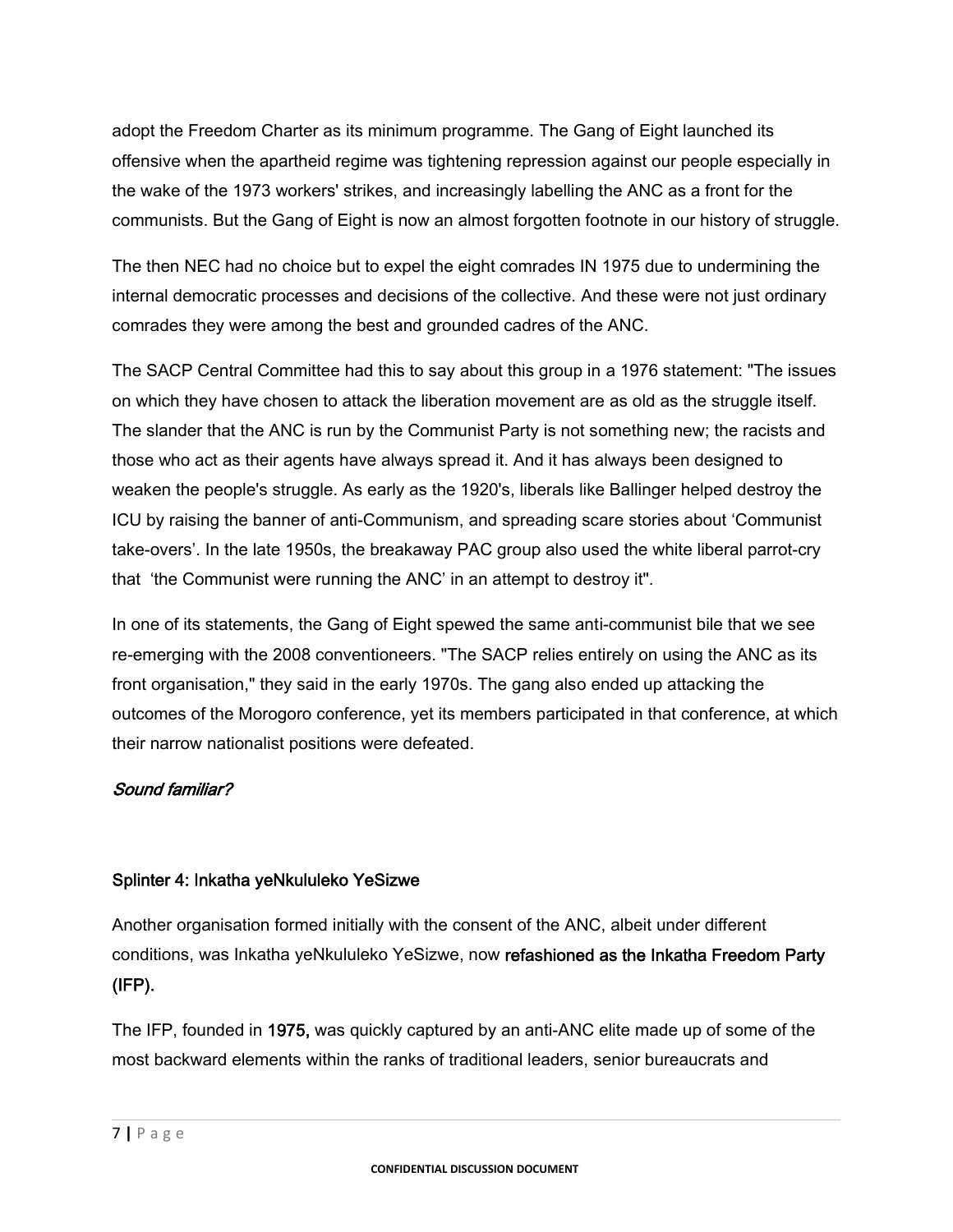adopt the Freedom Charter as its minimum programme. The Gang of Eight launched its offensive when the apartheid regime was tightening repression against our people especially in the wake of the 1973 workers' strikes, and increasingly labelling the ANC as a front for the communists. But the Gang of Eight is now an almost forgotten footnote in our history of struggle.

The then NEC had no choice but to expel the eight comrades IN 1975 due to undermining the internal democratic processes and decisions of the collective. And these were not just ordinary comrades they were among the best and grounded cadres of the ANC.

The SACP Central Committee had this to say about this group in a 1976 statement: "The issues on which they have chosen to attack the liberation movement are as old as the struggle itself. The slander that the ANC is run by the Communist Party is not something new; the racists and those who act as their agents have always spread it. And it has always been designed to weaken the people's struggle. As early as the 1920's, liberals like Ballinger helped destroy the ICU by raising the banner of anti-Communism, and spreading scare stories about 'Communist take-overs'. In the late 1950s, the breakaway PAC group also used the white liberal parrot-cry that 'the Communist were running the ANC' in an attempt to destroy it".

In one of its statements, the Gang of Eight spewed the same anti-communist bile that we see re-emerging with the 2008 conventioneers. "The SACP relies entirely on using the ANC as its front organisation," they said in the early 1970s. The gang also ended up attacking the outcomes of the Morogoro conference, yet its members participated in that conference, at which their narrow nationalist positions were defeated.

# Sound familiar?

# Splinter 4: Inkatha yeNkululeko YeSizwe

Another organisation formed initially with the consent of the ANC, albeit under different conditions, was Inkatha yeNkululeko YeSizwe, now refashioned as the Inkatha Freedom Party (IFP).

The IFP, founded in 1975, was quickly captured by an anti-ANC elite made up of some of the most backward elements within the ranks of traditional leaders, senior bureaucrats and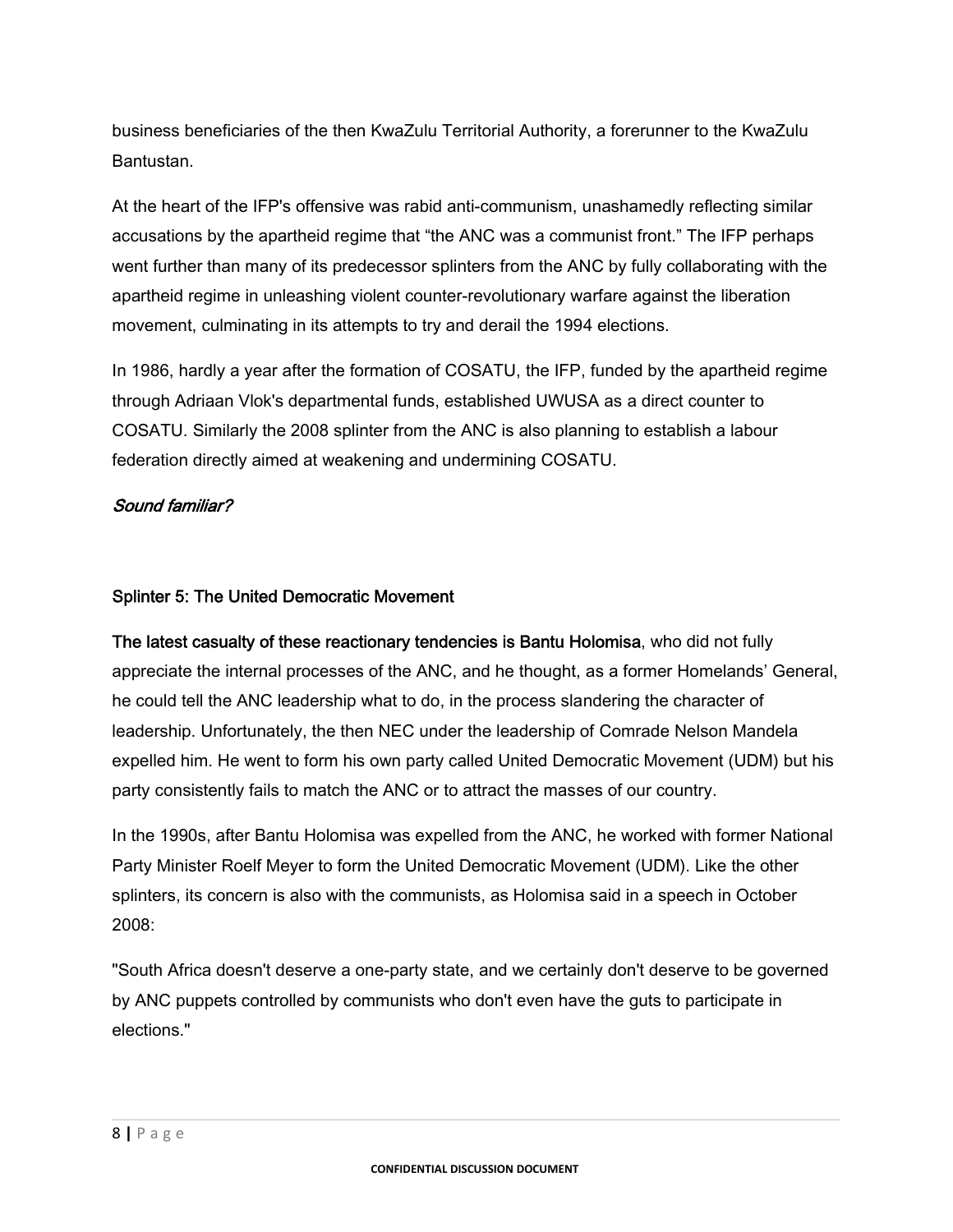business beneficiaries of the then KwaZulu Territorial Authority, a forerunner to the KwaZulu Bantustan.

At the heart of the IFP's offensive was rabid anti-communism, unashamedly reflecting similar accusations by the apartheid regime that "the ANC was a communist front." The IFP perhaps went further than many of its predecessor splinters from the ANC by fully collaborating with the apartheid regime in unleashing violent counter-revolutionary warfare against the liberation movement, culminating in its attempts to try and derail the 1994 elections.

In 1986, hardly a year after the formation of COSATU, the IFP, funded by the apartheid regime through Adriaan Vlok's departmental funds, established UWUSA as a direct counter to COSATU. Similarly the 2008 splinter from the ANC is also planning to establish a labour federation directly aimed at weakening and undermining COSATU.

#### Sound familiar?

#### Splinter 5: The United Democratic Movement

The latest casualty of these reactionary tendencies is Bantu Holomisa, who did not fully appreciate the internal processes of the ANC, and he thought, as a former Homelands' General, he could tell the ANC leadership what to do, in the process slandering the character of leadership. Unfortunately, the then NEC under the leadership of Comrade Nelson Mandela expelled him. He went to form his own party called United Democratic Movement (UDM) but his party consistently fails to match the ANC or to attract the masses of our country.

In the 1990s, after Bantu Holomisa was expelled from the ANC, he worked with former National Party Minister Roelf Meyer to form the United Democratic Movement (UDM). Like the other splinters, its concern is also with the communists, as Holomisa said in a speech in October 2008:

"South Africa doesn't deserve a one-party state, and we certainly don't deserve to be governed by ANC puppets controlled by communists who don't even have the guts to participate in elections."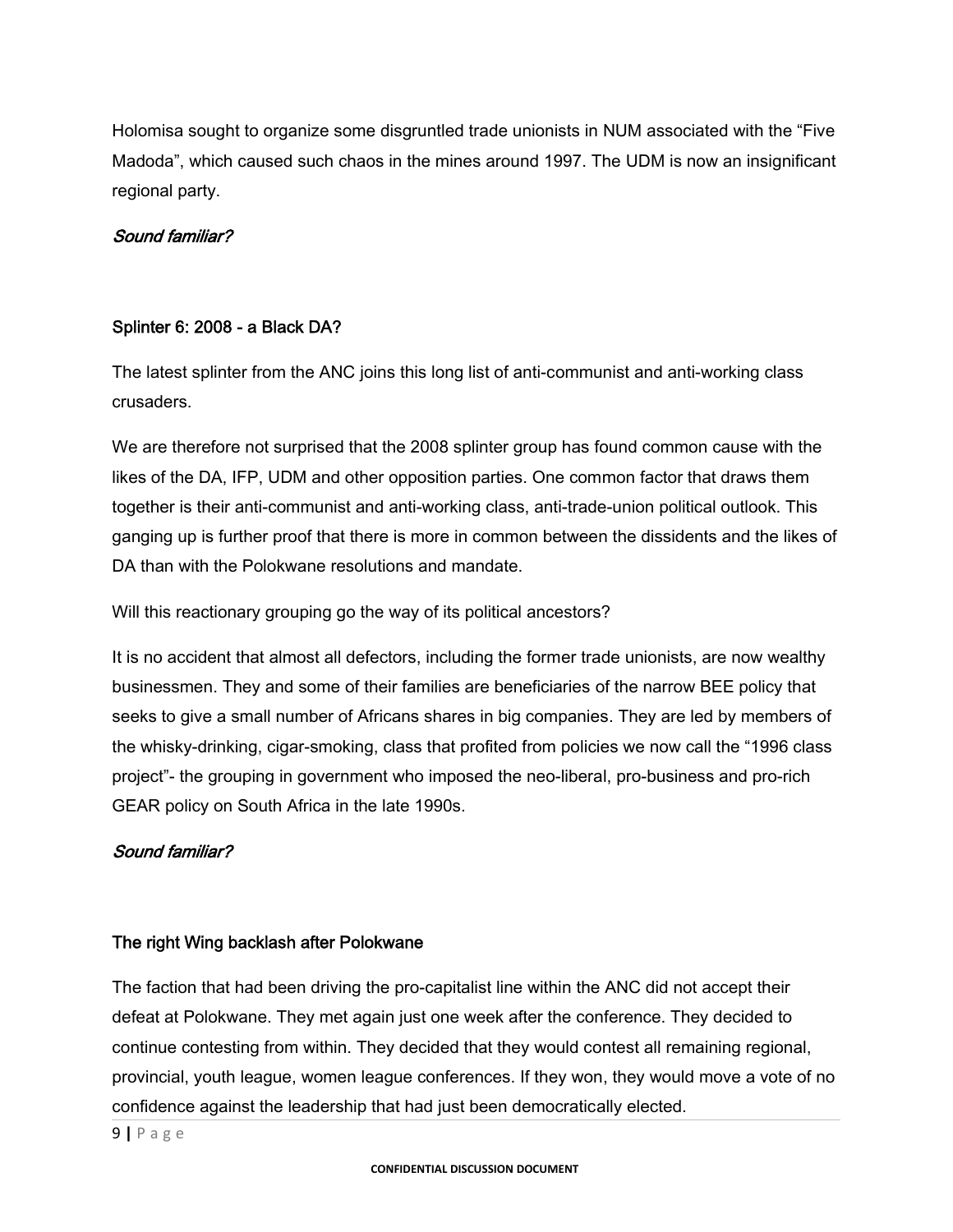Holomisa sought to organize some disgruntled trade unionists in NUM associated with the "Five Madoda", which caused such chaos in the mines around 1997. The UDM is now an insignificant regional party.

#### Sound familiar?

# Splinter 6: 2008 - a Black DA?

The latest splinter from the ANC joins this long list of anti-communist and anti-working class crusaders.

We are therefore not surprised that the 2008 splinter group has found common cause with the likes of the DA, IFP, UDM and other opposition parties. One common factor that draws them together is their anti-communist and anti-working class, anti-trade-union political outlook. This ganging up is further proof that there is more in common between the dissidents and the likes of DA than with the Polokwane resolutions and mandate.

Will this reactionary grouping go the way of its political ancestors?

It is no accident that almost all defectors, including the former trade unionists, are now wealthy businessmen. They and some of their families are beneficiaries of the narrow BEE policy that seeks to give a small number of Africans shares in big companies. They are led by members of the whisky-drinking, cigar-smoking, class that profited from policies we now call the "1996 class project"- the grouping in government who imposed the neo-liberal, pro-business and pro-rich GEAR policy on South Africa in the late 1990s.

#### Sound familiar?

#### The right Wing backlash after Polokwane

The faction that had been driving the pro-capitalist line within the ANC did not accept their defeat at Polokwane. They met again just one week after the conference. They decided to continue contesting from within. They decided that they would contest all remaining regional, provincial, youth league, women league conferences. If they won, they would move a vote of no confidence against the leadership that had just been democratically elected.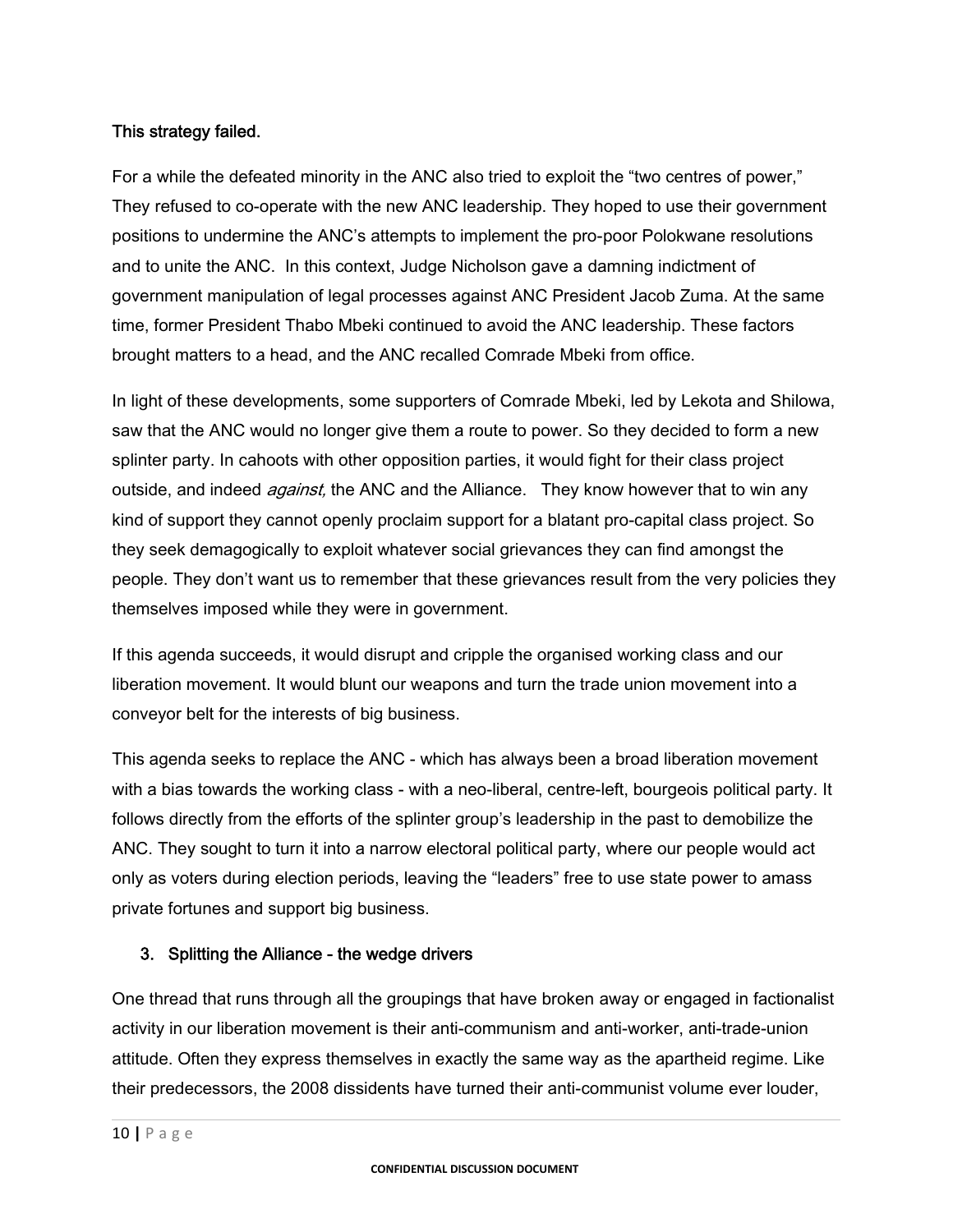#### This strategy failed.

For a while the defeated minority in the ANC also tried to exploit the "two centres of power," They refused to co-operate with the new ANC leadership. They hoped to use their government positions to undermine the ANC's attempts to implement the pro-poor Polokwane resolutions and to unite the ANC. In this context, Judge Nicholson gave a damning indictment of government manipulation of legal processes against ANC President Jacob Zuma. At the same time, former President Thabo Mbeki continued to avoid the ANC leadership. These factors brought matters to a head, and the ANC recalled Comrade Mbeki from office.

In light of these developments, some supporters of Comrade Mbeki, led by Lekota and Shilowa, saw that the ANC would no longer give them a route to power. So they decided to form a new splinter party. In cahoots with other opposition parties, it would fight for their class project outside, and indeed *against*, the ANC and the Alliance. They know however that to win any kind of support they cannot openly proclaim support for a blatant pro-capital class project. So they seek demagogically to exploit whatever social grievances they can find amongst the people. They don't want us to remember that these grievances result from the very policies they themselves imposed while they were in government.

If this agenda succeeds, it would disrupt and cripple the organised working class and our liberation movement. It would blunt our weapons and turn the trade union movement into a conveyor belt for the interests of big business.

This agenda seeks to replace the ANC - which has always been a broad liberation movement with a bias towards the working class - with a neo-liberal, centre-left, bourgeois political party. It follows directly from the efforts of the splinter group's leadership in the past to demobilize the ANC. They sought to turn it into a narrow electoral political party, where our people would act only as voters during election periods, leaving the "leaders" free to use state power to amass private fortunes and support big business.

#### 3. Splitting the Alliance - the wedge drivers

One thread that runs through all the groupings that have broken away or engaged in factionalist activity in our liberation movement is their anti-communism and anti-worker, anti-trade-union attitude. Often they express themselves in exactly the same way as the apartheid regime. Like their predecessors, the 2008 dissidents have turned their anti-communist volume ever louder,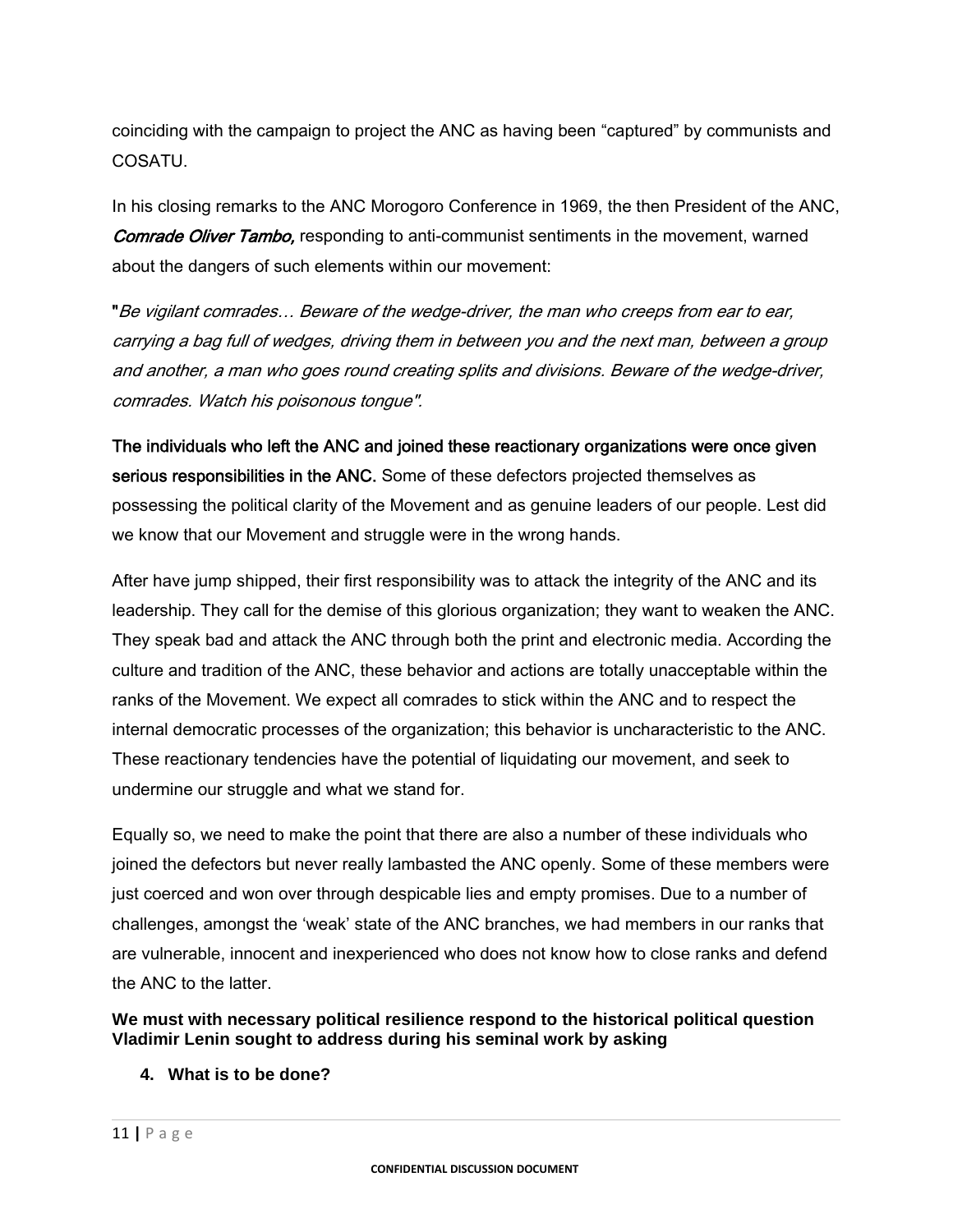coinciding with the campaign to project the ANC as having been "captured" by communists and COSATU.

In his closing remarks to the ANC Morogoro Conference in 1969, the then President of the ANC, **Comrade Oliver Tambo, responding to anti-communist sentiments in the movement, warned** about the dangers of such elements within our movement:

"Be vigilant comrades… Beware of the wedge-driver, the man who creeps from ear to ear, carrying a bag full of wedges, driving them in between you and the next man, between a group and another, a man who goes round creating splits and divisions. Beware of the wedge-driver, comrades. Watch his poisonous tongue".

The individuals who left the ANC and joined these reactionary organizations were once given serious responsibilities in the ANC. Some of these defectors projected themselves as possessing the political clarity of the Movement and as genuine leaders of our people. Lest did we know that our Movement and struggle were in the wrong hands.

After have jump shipped, their first responsibility was to attack the integrity of the ANC and its leadership. They call for the demise of this glorious organization; they want to weaken the ANC. They speak bad and attack the ANC through both the print and electronic media. According the culture and tradition of the ANC, these behavior and actions are totally unacceptable within the ranks of the Movement. We expect all comrades to stick within the ANC and to respect the internal democratic processes of the organization; this behavior is uncharacteristic to the ANC. These reactionary tendencies have the potential of liquidating our movement, and seek to undermine our struggle and what we stand for.

Equally so, we need to make the point that there are also a number of these individuals who joined the defectors but never really lambasted the ANC openly. Some of these members were just coerced and won over through despicable lies and empty promises. Due to a number of challenges, amongst the 'weak' state of the ANC branches, we had members in our ranks that are vulnerable, innocent and inexperienced who does not know how to close ranks and defend the ANC to the latter.

**We must with necessary political resilience respond to the historical political question Vladimir Lenin sought to address during his seminal work by asking** 

**4. What is to be done?**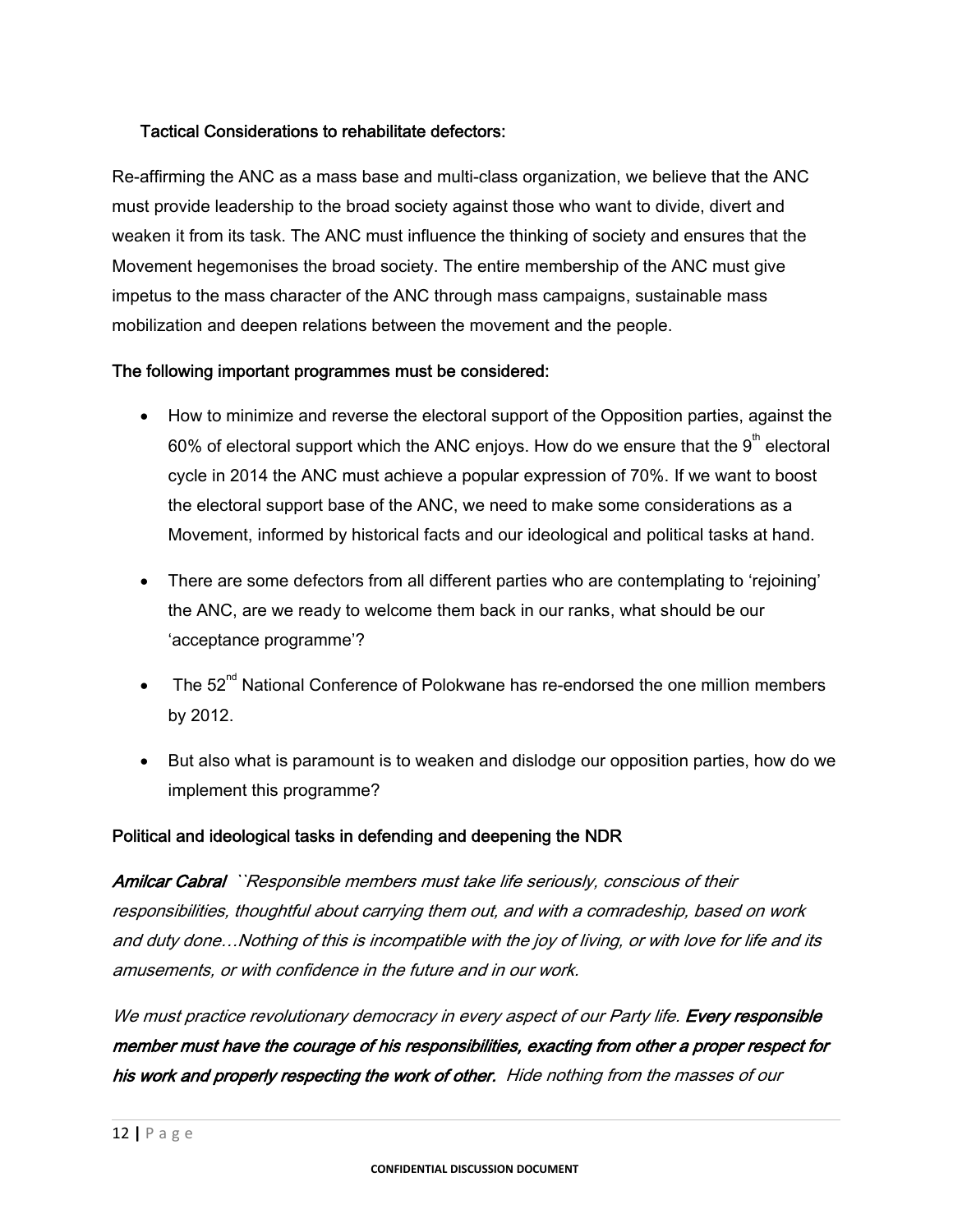#### Tactical Considerations to rehabilitate defectors:

Re-affirming the ANC as a mass base and multi-class organization, we believe that the ANC must provide leadership to the broad society against those who want to divide, divert and weaken it from its task. The ANC must influence the thinking of society and ensures that the Movement hegemonises the broad society. The entire membership of the ANC must give impetus to the mass character of the ANC through mass campaigns, sustainable mass mobilization and deepen relations between the movement and the people.

#### The following important programmes must be considered:

- How to minimize and reverse the electoral support of the Opposition parties, against the 60% of electoral support which the ANC enjoys. How do we ensure that the  $9<sup>th</sup>$  electoral cycle in 2014 the ANC must achieve a popular expression of 70%. If we want to boost the electoral support base of the ANC, we need to make some considerations as a Movement, informed by historical facts and our ideological and political tasks at hand.
- There are some defectors from all different parties who are contemplating to 'rejoining' the ANC, are we ready to welcome them back in our ranks, what should be our 'acceptance programme'?
- The  $52^{nd}$  National Conference of Polokwane has re-endorsed the one million members by 2012.
- But also what is paramount is to weaken and dislodge our opposition parties, how do we implement this programme?

# Political and ideological tasks in defending and deepening the NDR

Amilcar Cabral ``Responsible members must take life seriously, conscious of their responsibilities, thoughtful about carrying them out, and with a comradeship, based on work and duty done…Nothing of this is incompatible with the joy of living, or with love for life and its amusements, or with confidence in the future and in our work.

We must practice revolutionary democracy in every aspect of our Party life. Every responsible member must have the courage of his responsibilities, exacting from other a proper respect for his work and properly respecting the work of other. Hide nothing from the masses of our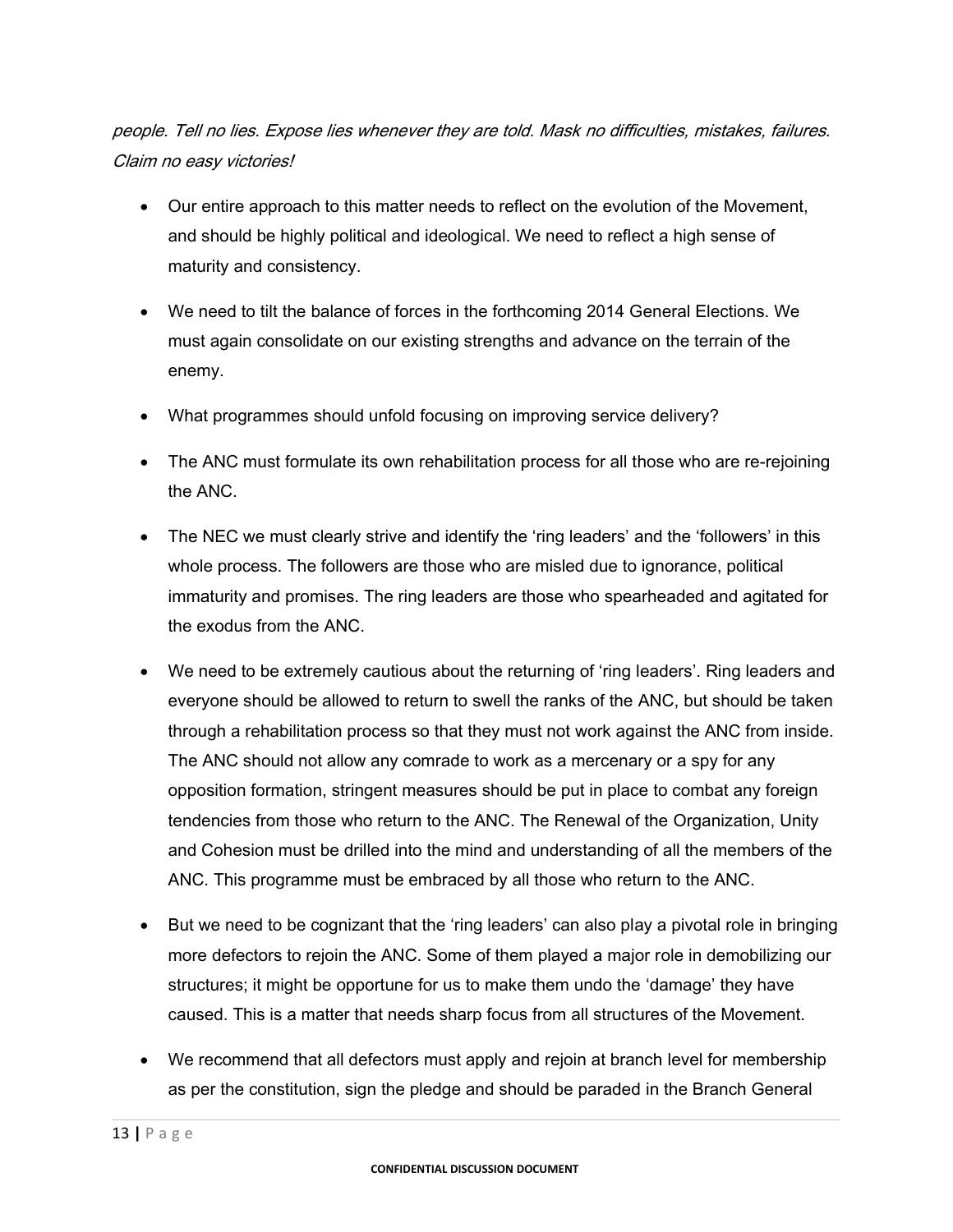people. Tell no lies. Expose lies whenever they are told. Mask no difficulties, mistakes, failures. Claim no easy victories!

- Our entire approach to this matter needs to reflect on the evolution of the Movement, and should be highly political and ideological. We need to reflect a high sense of maturity and consistency.
- We need to tilt the balance of forces in the forthcoming 2014 General Elections. We must again consolidate on our existing strengths and advance on the terrain of the enemy.
- What programmes should unfold focusing on improving service delivery?
- The ANC must formulate its own rehabilitation process for all those who are re-rejoining the ANC.
- The NEC we must clearly strive and identify the 'ring leaders' and the 'followers' in this whole process. The followers are those who are misled due to ignorance, political immaturity and promises. The ring leaders are those who spearheaded and agitated for the exodus from the ANC.
- We need to be extremely cautious about the returning of 'ring leaders'. Ring leaders and everyone should be allowed to return to swell the ranks of the ANC, but should be taken through a rehabilitation process so that they must not work against the ANC from inside. The ANC should not allow any comrade to work as a mercenary or a spy for any opposition formation, stringent measures should be put in place to combat any foreign tendencies from those who return to the ANC. The Renewal of the Organization, Unity and Cohesion must be drilled into the mind and understanding of all the members of the ANC. This programme must be embraced by all those who return to the ANC.
- But we need to be cognizant that the 'ring leaders' can also play a pivotal role in bringing more defectors to rejoin the ANC. Some of them played a major role in demobilizing our structures; it might be opportune for us to make them undo the 'damage' they have caused. This is a matter that needs sharp focus from all structures of the Movement.
- We recommend that all defectors must apply and rejoin at branch level for membership as per the constitution, sign the pledge and should be paraded in the Branch General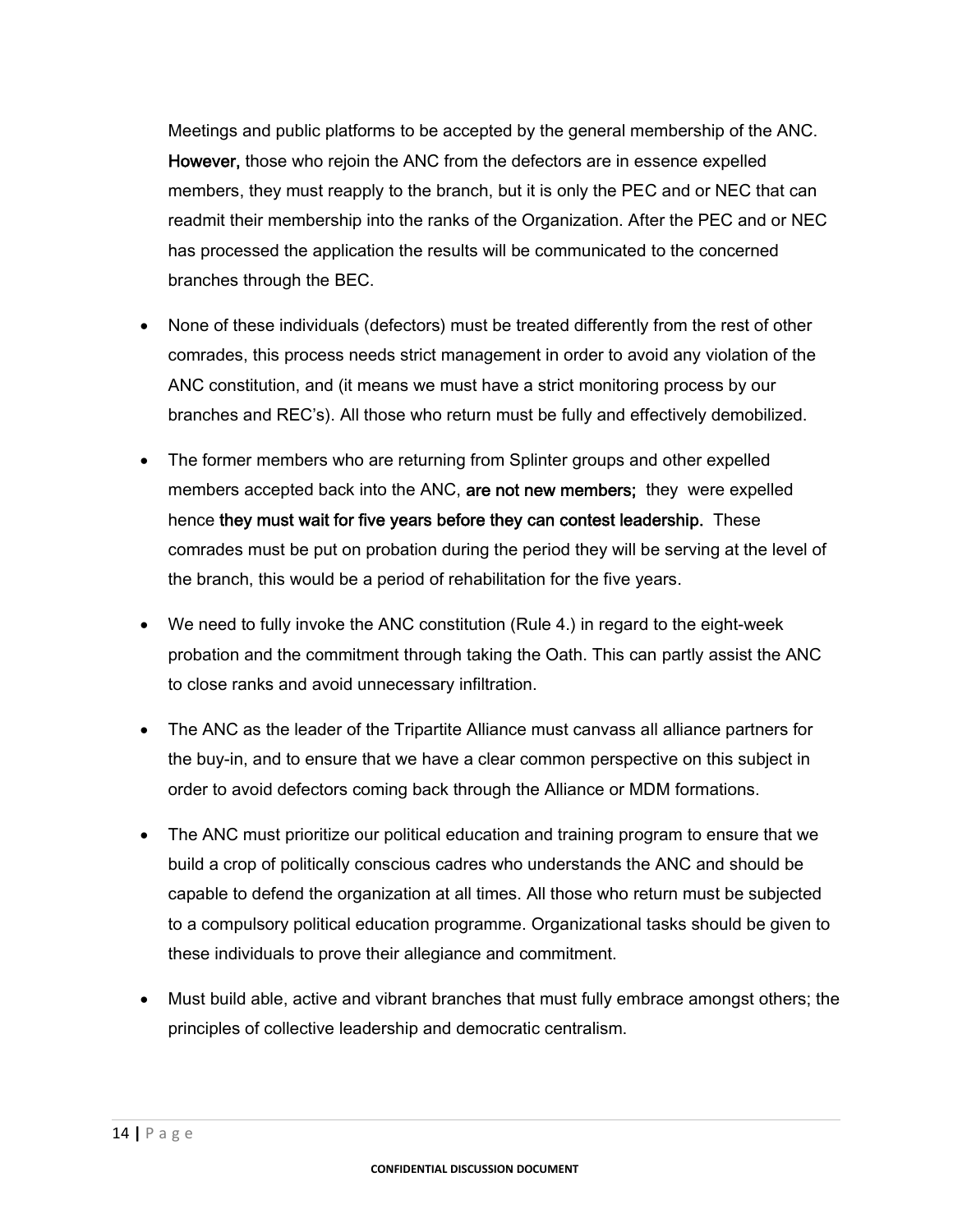Meetings and public platforms to be accepted by the general membership of the ANC. However, those who rejoin the ANC from the defectors are in essence expelled members, they must reapply to the branch, but it is only the PEC and or NEC that can readmit their membership into the ranks of the Organization. After the PEC and or NEC has processed the application the results will be communicated to the concerned branches through the BEC.

- None of these individuals (defectors) must be treated differently from the rest of other comrades, this process needs strict management in order to avoid any violation of the ANC constitution, and (it means we must have a strict monitoring process by our branches and REC's). All those who return must be fully and effectively demobilized.
- The former members who are returning from Splinter groups and other expelled members accepted back into the ANC, are not new members; they were expelled hence they must wait for five years before they can contest leadership. These comrades must be put on probation during the period they will be serving at the level of the branch, this would be a period of rehabilitation for the five years.
- We need to fully invoke the ANC constitution (Rule 4.) in regard to the eight-week probation and the commitment through taking the Oath. This can partly assist the ANC to close ranks and avoid unnecessary infiltration.
- The ANC as the leader of the Tripartite Alliance must canvass all alliance partners for the buy-in, and to ensure that we have a clear common perspective on this subject in order to avoid defectors coming back through the Alliance or MDM formations.
- The ANC must prioritize our political education and training program to ensure that we build a crop of politically conscious cadres who understands the ANC and should be capable to defend the organization at all times. All those who return must be subjected to a compulsory political education programme. Organizational tasks should be given to these individuals to prove their allegiance and commitment.
- Must build able, active and vibrant branches that must fully embrace amongst others; the principles of collective leadership and democratic centralism.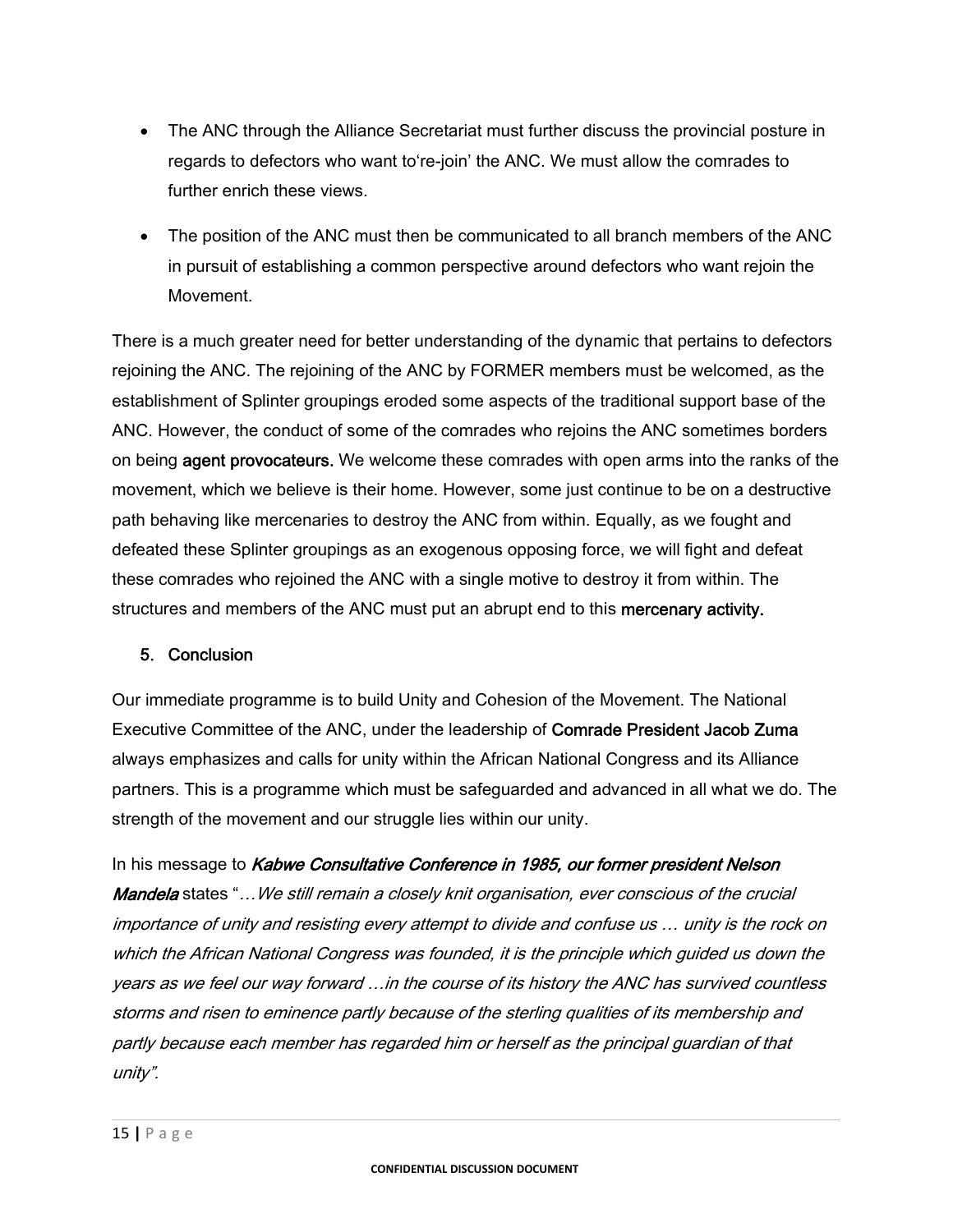- The ANC through the Alliance Secretariat must further discuss the provincial posture in regards to defectors who want to're-join' the ANC. We must allow the comrades to further enrich these views.
- The position of the ANC must then be communicated to all branch members of the ANC in pursuit of establishing a common perspective around defectors who want rejoin the Movement.

There is a much greater need for better understanding of the dynamic that pertains to defectors rejoining the ANC. The rejoining of the ANC by FORMER members must be welcomed, as the establishment of Splinter groupings eroded some aspects of the traditional support base of the ANC. However, the conduct of some of the comrades who rejoins the ANC sometimes borders on being agent provocateurs. We welcome these comrades with open arms into the ranks of the movement, which we believe is their home. However, some just continue to be on a destructive path behaving like mercenaries to destroy the ANC from within. Equally, as we fought and defeated these Splinter groupings as an exogenous opposing force, we will fight and defeat these comrades who rejoined the ANC with a single motive to destroy it from within. The structures and members of the ANC must put an abrupt end to this mercenary activity.

# 5. Conclusion

Our immediate programme is to build Unity and Cohesion of the Movement. The National Executive Committee of the ANC, under the leadership of Comrade President Jacob Zuma always emphasizes and calls for unity within the African National Congress and its Alliance partners. This is a programme which must be safeguarded and advanced in all what we do. The strength of the movement and our struggle lies within our unity.

In his message to Kabwe Consultative Conference in 1985, our former president Nelson Mandela states "... We still remain a closely knit organisation, ever conscious of the crucial importance of unity and resisting every attempt to divide and confuse us … unity is the rock on which the African National Congress was founded, it is the principle which guided us down the years as we feel our way forward …in the course of its history the ANC has survived countless storms and risen to eminence partly because of the sterling qualities of its membership and partly because each member has regarded him or herself as the principal guardian of that unity".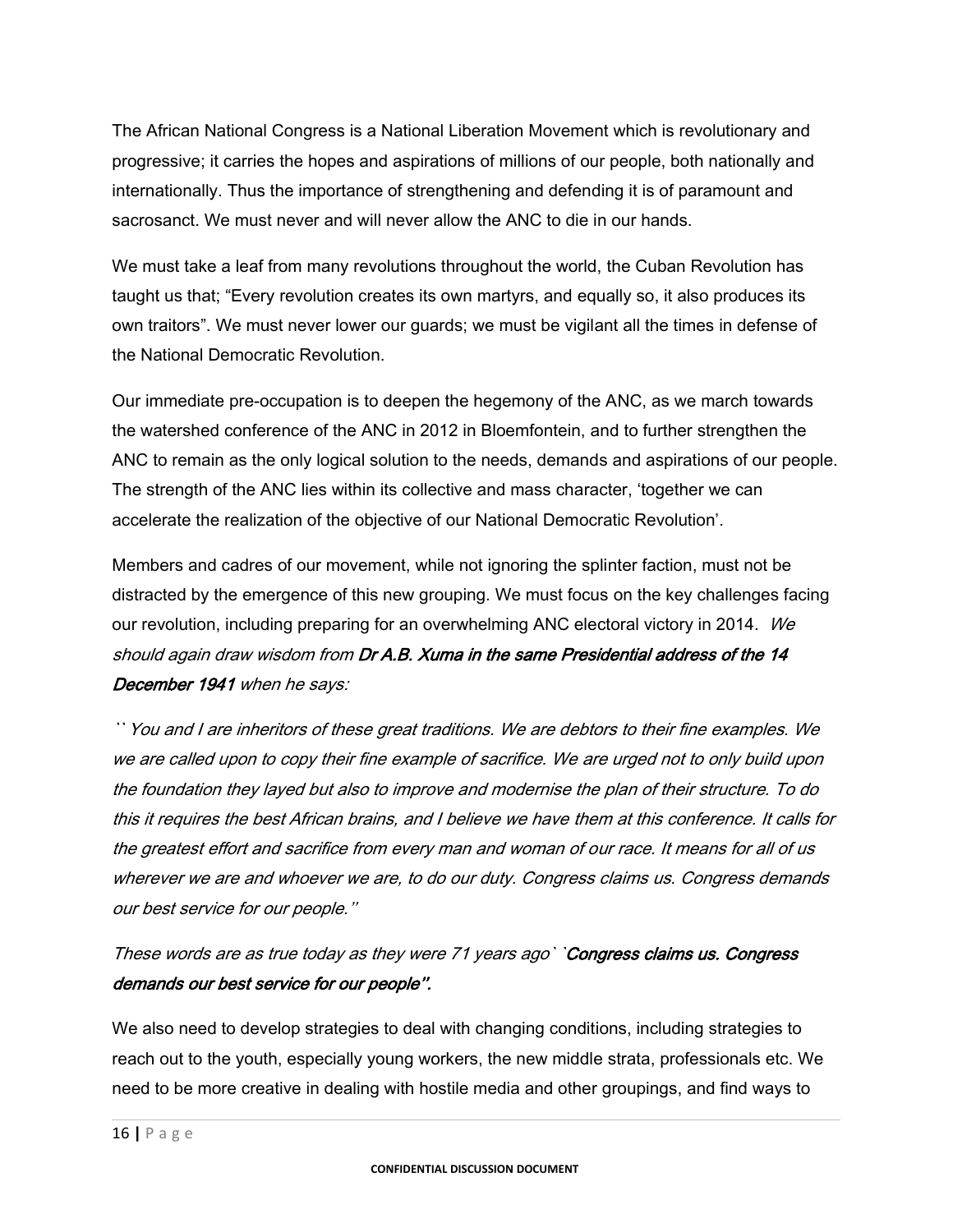The African National Congress is a National Liberation Movement which is revolutionary and progressive; it carries the hopes and aspirations of millions of our people, both nationally and internationally. Thus the importance of strengthening and defending it is of paramount and sacrosanct. We must never and will never allow the ANC to die in our hands.

We must take a leaf from many revolutions throughout the world, the Cuban Revolution has taught us that; "Every revolution creates its own martyrs, and equally so, it also produces its own traitors". We must never lower our guards; we must be vigilant all the times in defense of the National Democratic Revolution.

Our immediate pre-occupation is to deepen the hegemony of the ANC, as we march towards the watershed conference of the ANC in 2012 in Bloemfontein, and to further strengthen the ANC to remain as the only logical solution to the needs, demands and aspirations of our people. The strength of the ANC lies within its collective and mass character, 'together we can accelerate the realization of the objective of our National Democratic Revolution'.

Members and cadres of our movement, while not ignoring the splinter faction, must not be distracted by the emergence of this new grouping. We must focus on the key challenges facing our revolution, including preparing for an overwhelming ANC electoral victory in 2014. We should again draw wisdom from Dr A.B. Xuma in the same Presidential address of the 14 December 1941 when he says:

`` You and I are inheritors of these great traditions. We are debtors to their fine examples. We we are called upon to copy their fine example of sacrifice. We are urged not to only build upon the foundation they layed but also to improve and modernise the plan of their structure. To do this it requires the best African brains, and I believe we have them at this conference. It calls for the greatest effort and sacrifice from every man and woman of our race. It means for all of us wherever we are and whoever we are, to do our duty. Congress claims us. Congress demands our best service for our people.''

These words are as true today as they were 71 years ago` `Congress claims us. Congress demands our best service for our people''.

We also need to develop strategies to deal with changing conditions, including strategies to reach out to the youth, especially young workers, the new middle strata, professionals etc. We need to be more creative in dealing with hostile media and other groupings, and find ways to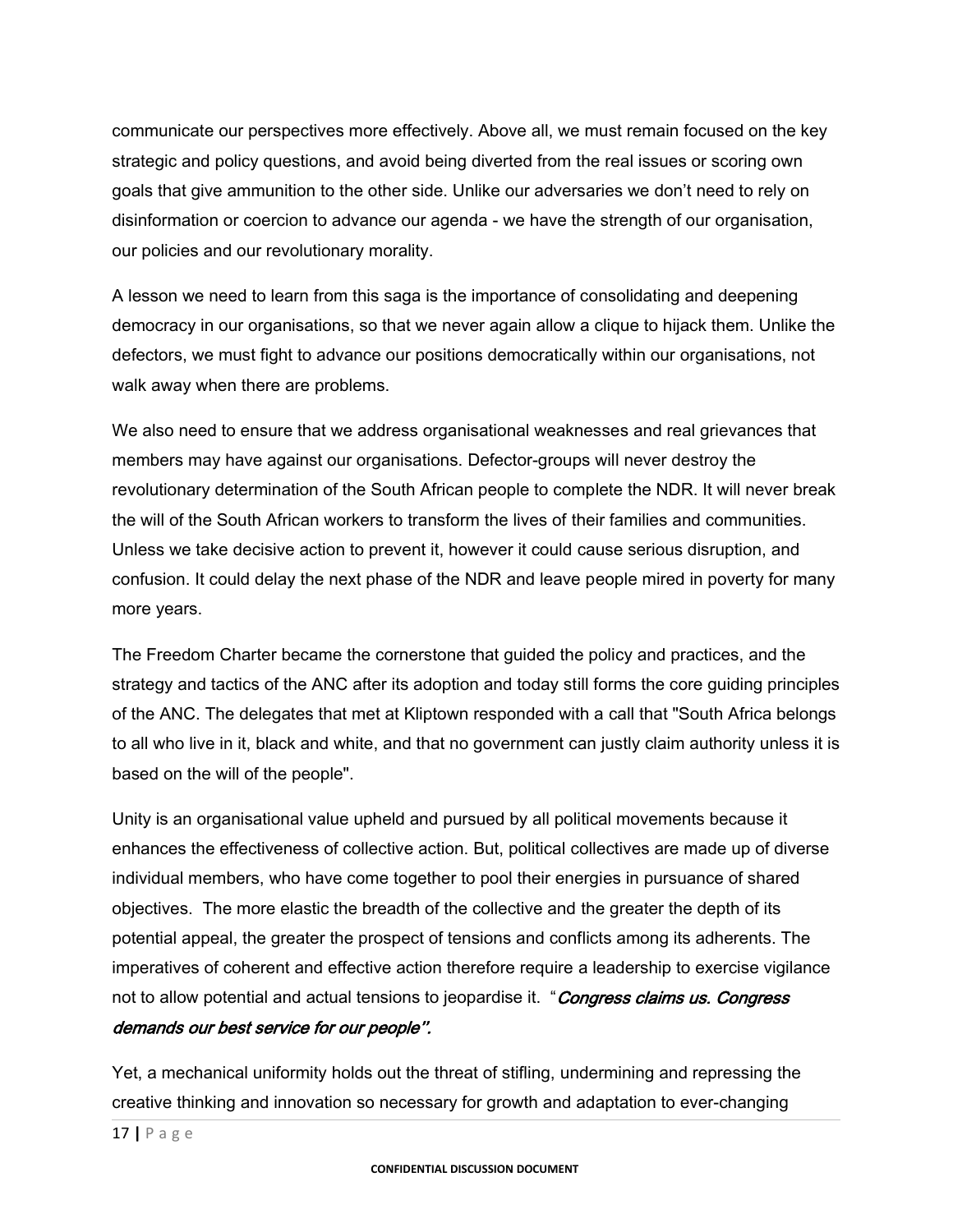communicate our perspectives more effectively. Above all, we must remain focused on the key strategic and policy questions, and avoid being diverted from the real issues or scoring own goals that give ammunition to the other side. Unlike our adversaries we don't need to rely on disinformation or coercion to advance our agenda - we have the strength of our organisation, our policies and our revolutionary morality.

A lesson we need to learn from this saga is the importance of consolidating and deepening democracy in our organisations, so that we never again allow a clique to hijack them. Unlike the defectors, we must fight to advance our positions democratically within our organisations, not walk away when there are problems.

We also need to ensure that we address organisational weaknesses and real grievances that members may have against our organisations. Defector-groups will never destroy the revolutionary determination of the South African people to complete the NDR. It will never break the will of the South African workers to transform the lives of their families and communities. Unless we take decisive action to prevent it, however it could cause serious disruption, and confusion. It could delay the next phase of the NDR and leave people mired in poverty for many more years.

The Freedom Charter became the cornerstone that guided the policy and practices, and the strategy and tactics of the ANC after its adoption and today still forms the core guiding principles of the ANC. The delegates that met at Kliptown responded with a call that "South Africa belongs to all who live in it, black and white, and that no government can justly claim authority unless it is based on the will of the people".

Unity is an organisational value upheld and pursued by all political movements because it enhances the effectiveness of collective action. But, political collectives are made up of diverse individual members, who have come together to pool their energies in pursuance of shared objectives. The more elastic the breadth of the collective and the greater the depth of its potential appeal, the greater the prospect of tensions and conflicts among its adherents. The imperatives of coherent and effective action therefore require a leadership to exercise vigilance not to allow potential and actual tensions to jeopardise it. "Congress claims us. Congress demands our best service for our people''.

Yet, a mechanical uniformity holds out the threat of stifling, undermining and repressing the creative thinking and innovation so necessary for growth and adaptation to ever-changing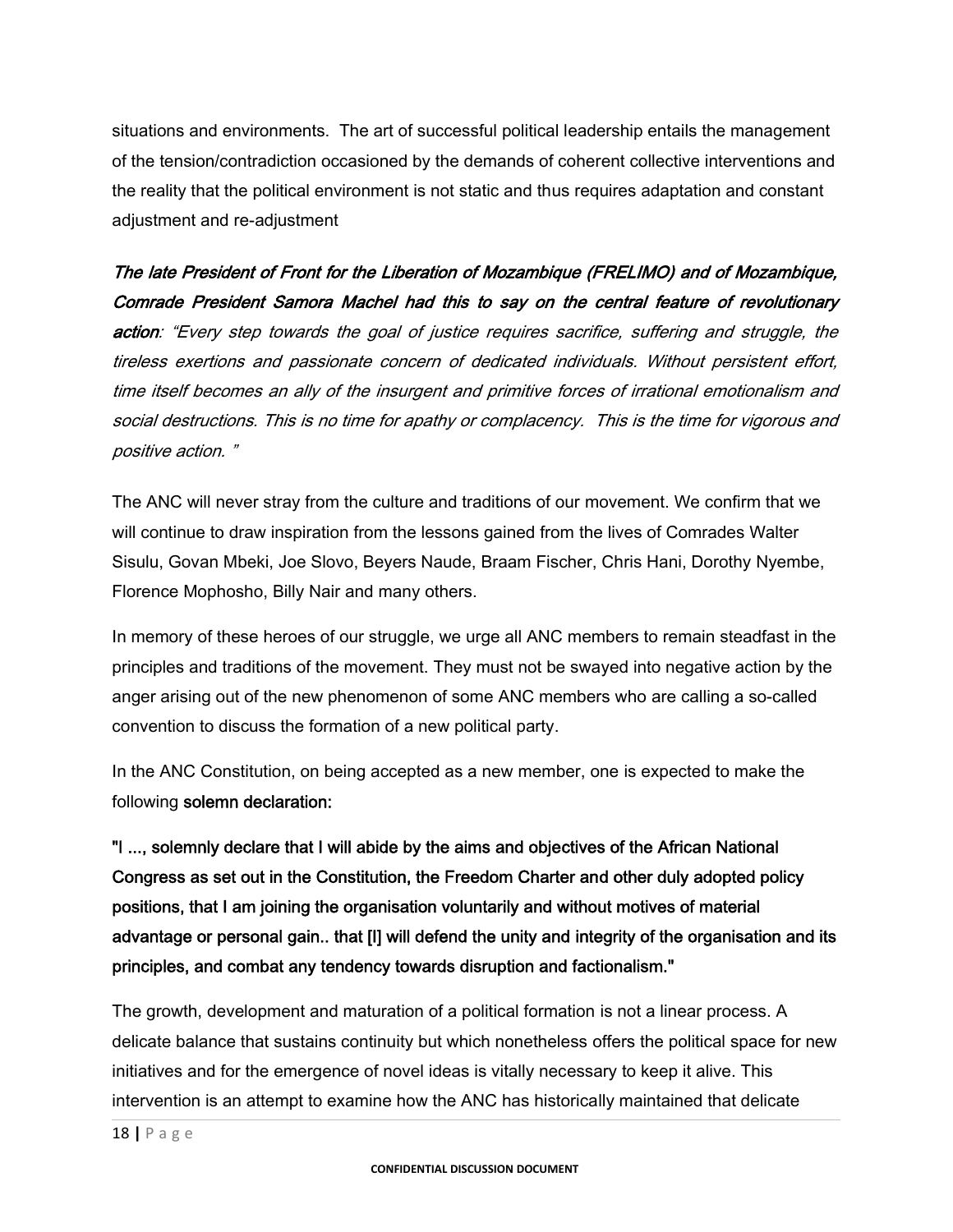situations and environments. The art of successful political leadership entails the management of the tension/contradiction occasioned by the demands of coherent collective interventions and the reality that the political environment is not static and thus requires adaptation and constant adjustment and re-adjustment

The late President of Front for the Liberation of Mozambique (FRELIMO) and of Mozambique, Comrade President Samora Machel had this to say on the central feature of revolutionary action: "Every step towards the goal of justice requires sacrifice, suffering and struggle, the tireless exertions and passionate concern of dedicated individuals. Without persistent effort, time itself becomes an ally of the insurgent and primitive forces of irrational emotionalism and social destructions. This is no time for apathy or complacency. This is the time for vigorous and positive action. "

The ANC will never stray from the culture and traditions of our movement. We confirm that we will continue to draw inspiration from the lessons gained from the lives of Comrades Walter Sisulu, Govan Mbeki, Joe Slovo, Beyers Naude, Braam Fischer, Chris Hani, Dorothy Nyembe, Florence Mophosho, Billy Nair and many others.

In memory of these heroes of our struggle, we urge all ANC members to remain steadfast in the principles and traditions of the movement. They must not be swayed into negative action by the anger arising out of the new phenomenon of some ANC members who are calling a so-called convention to discuss the formation of a new political party.

In the ANC Constitution, on being accepted as a new member, one is expected to make the following solemn declaration:

"I ..., solemnly declare that I will abide by the aims and objectives of the African National Congress as set out in the Constitution, the Freedom Charter and other duly adopted policy positions, that I am joining the organisation voluntarily and without motives of material advantage or personal gain.. that [I] will defend the unity and integrity of the organisation and its principles, and combat any tendency towards disruption and factionalism."

The growth, development and maturation of a political formation is not a linear process. A delicate balance that sustains continuity but which nonetheless offers the political space for new initiatives and for the emergence of novel ideas is vitally necessary to keep it alive. This intervention is an attempt to examine how the ANC has historically maintained that delicate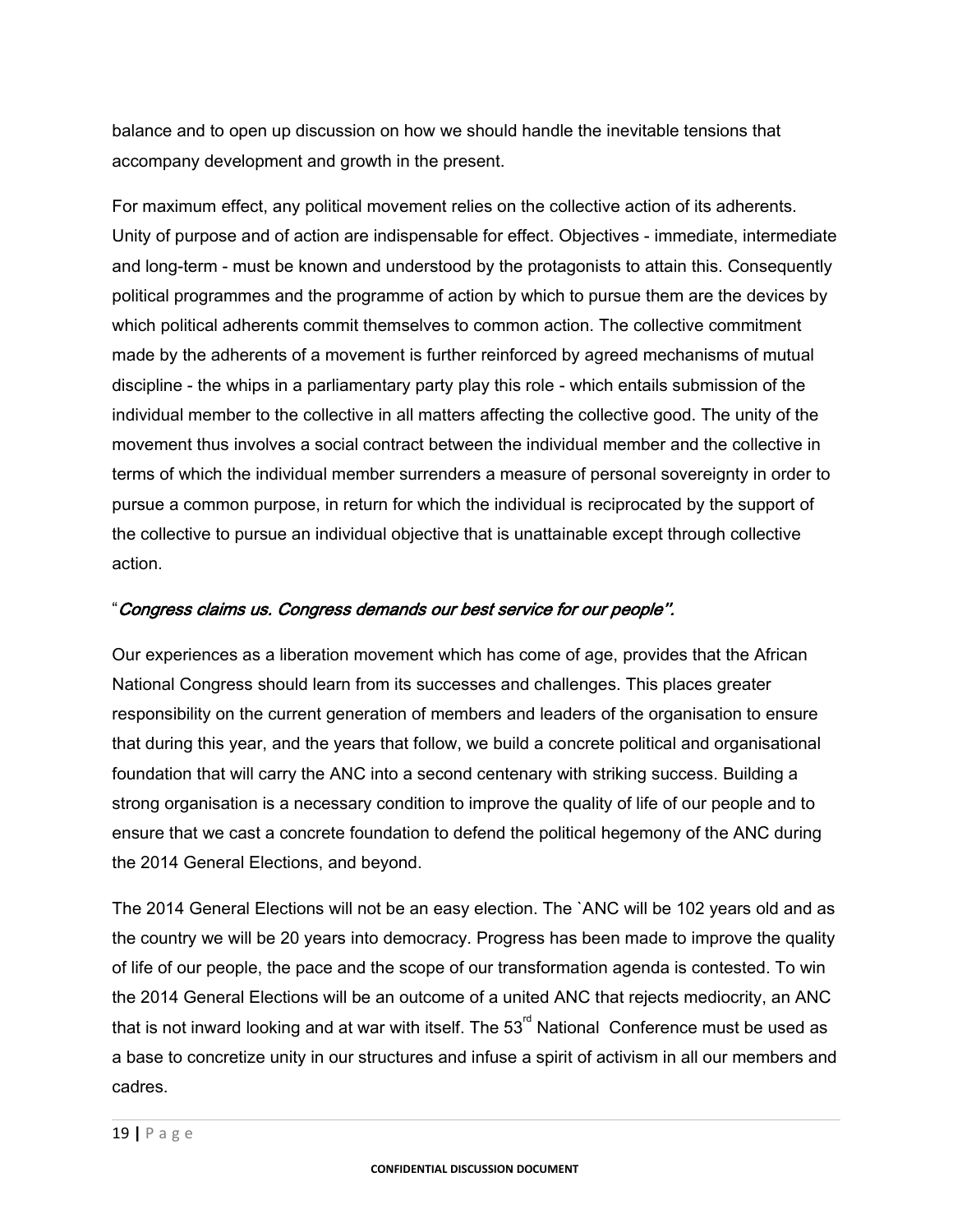balance and to open up discussion on how we should handle the inevitable tensions that accompany development and growth in the present.

For maximum effect, any political movement relies on the collective action of its adherents. Unity of purpose and of action are indispensable for effect. Objectives - immediate, intermediate and long-term - must be known and understood by the protagonists to attain this. Consequently political programmes and the programme of action by which to pursue them are the devices by which political adherents commit themselves to common action. The collective commitment made by the adherents of a movement is further reinforced by agreed mechanisms of mutual discipline - the whips in a parliamentary party play this role - which entails submission of the individual member to the collective in all matters affecting the collective good. The unity of the movement thus involves a social contract between the individual member and the collective in terms of which the individual member surrenders a measure of personal sovereignty in order to pursue a common purpose, in return for which the individual is reciprocated by the support of the collective to pursue an individual objective that is unattainable except through collective action.

#### "Congress claims us. Congress demands our best service for our people''.

Our experiences as a liberation movement which has come of age, provides that the African National Congress should learn from its successes and challenges. This places greater responsibility on the current generation of members and leaders of the organisation to ensure that during this year, and the years that follow, we build a concrete political and organisational foundation that will carry the ANC into a second centenary with striking success. Building a strong organisation is a necessary condition to improve the quality of life of our people and to ensure that we cast a concrete foundation to defend the political hegemony of the ANC during the 2014 General Elections, and beyond.

The 2014 General Elections will not be an easy election. The `ANC will be 102 years old and as the country we will be 20 years into democracy. Progress has been made to improve the quality of life of our people, the pace and the scope of our transformation agenda is contested. To win the 2014 General Elections will be an outcome of a united ANC that rejects mediocrity, an ANC that is not inward looking and at war with itself. The  $53<sup>rd</sup>$  National Conference must be used as a base to concretize unity in our structures and infuse a spirit of activism in all our members and cadres.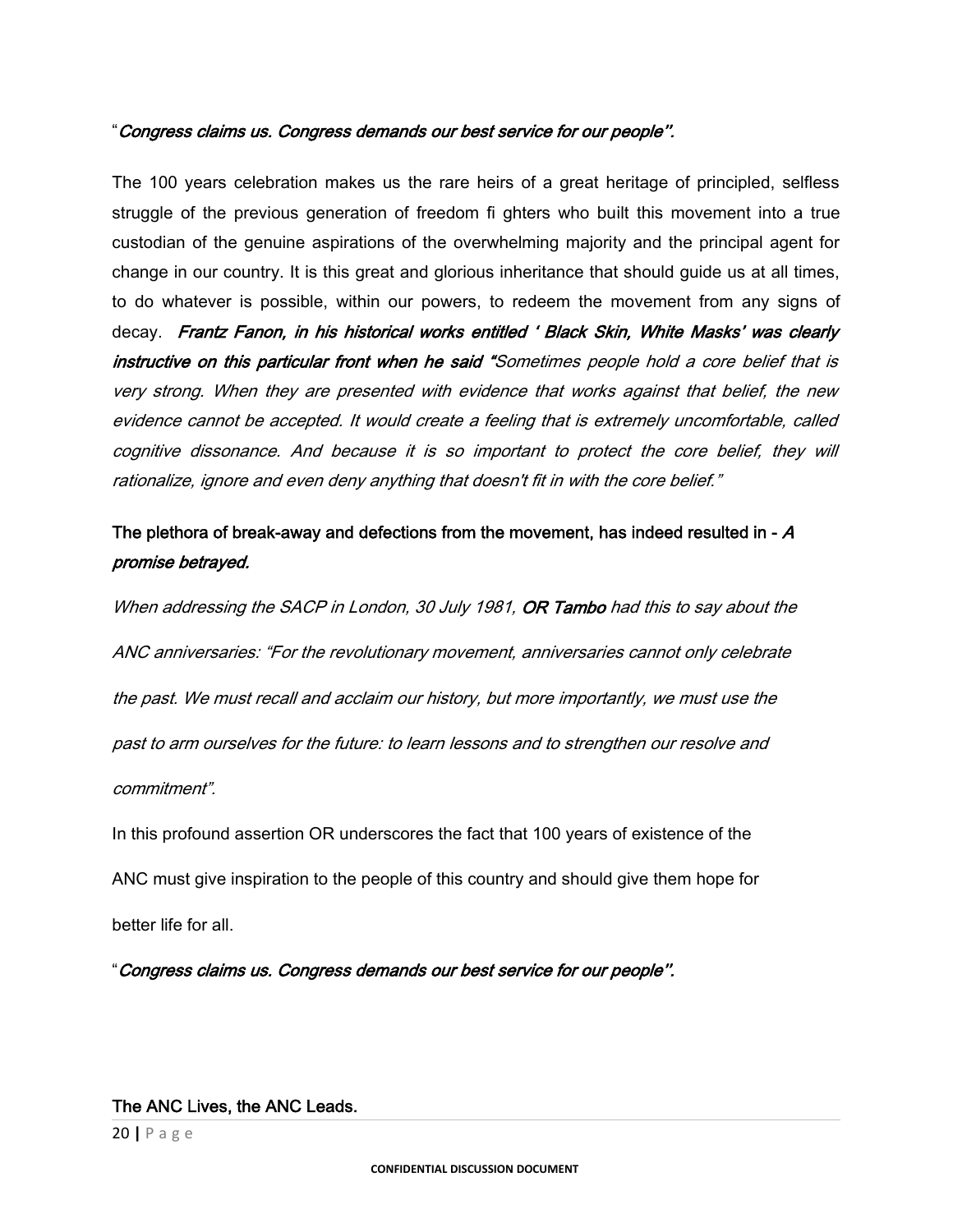#### "Congress claims us. Congress demands our best service for our people''.

The 100 years celebration makes us the rare heirs of a great heritage of principled, selfless struggle of the previous generation of freedom fi ghters who built this movement into a true custodian of the genuine aspirations of the overwhelming majority and the principal agent for change in our country. It is this great and glorious inheritance that should guide us at all times, to do whatever is possible, within our powers, to redeem the movement from any signs of decay. Frantz Fanon, in his historical works entitled 'Black Skin, White Masks' was clearly instructive on this particular front when he said "Sometimes people hold a core belief that is very strong. When they are presented with evidence that works against that belief, the new evidence cannot be accepted. It would create a feeling that is extremely uncomfortable, called cognitive dissonance. And because it is so important to protect the core belief, they will rationalize, ignore and even deny anything that doesn't fit in with the core belief."

# The plethora of break-away and defections from the movement, has indeed resulted in -  $\bm{A}$ promise betrayed.

When addressing the SACP in London, 30 July 1981, **OR Tambo** had this to say about the ANC anniversaries: "For the revolutionary movement, anniversaries cannot only celebrate the past. We must recall and acclaim our history, but more importantly, we must use the past to arm ourselves for the future: to learn lessons and to strengthen our resolve and commitment".

In this profound assertion OR underscores the fact that 100 years of existence of the ANC must give inspiration to the people of this country and should give them hope for better life for all.

"Congress claims us. Congress demands our best service for our people''.

#### The ANC Lives, the ANC Leads.

20 **|** Page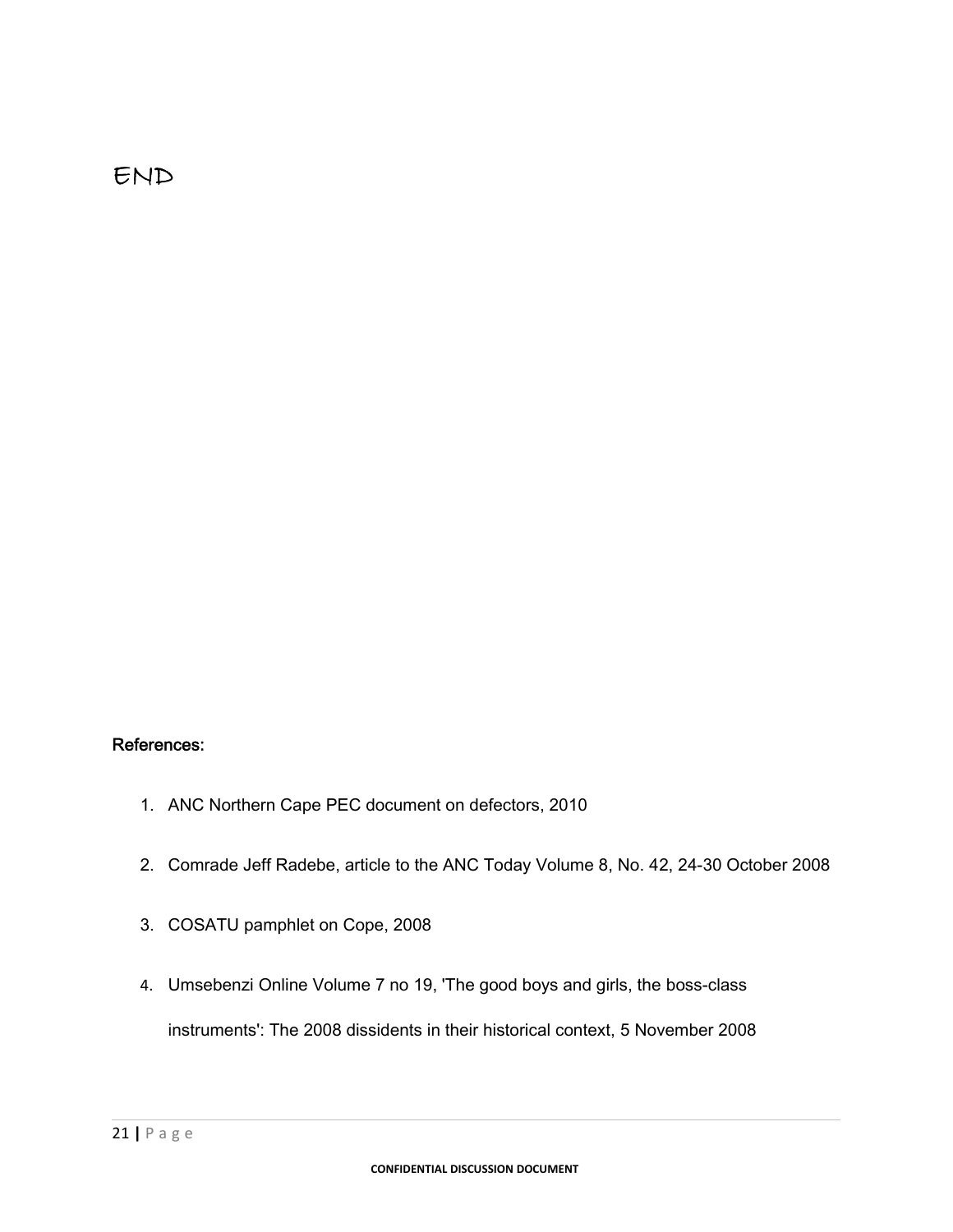# END

# References:

- 1. ANC Northern Cape PEC document on defectors, 2010
- 2. Comrade Jeff Radebe, article to the ANC Today Volume 8, No. 42, 24-30 October 2008
- 3. COSATU pamphlet on Cope, 2008
- 4. Umsebenzi Online Volume 7 no 19, 'The good boys and girls, the boss-class instruments': The 2008 dissidents in their historical context, 5 November 2008